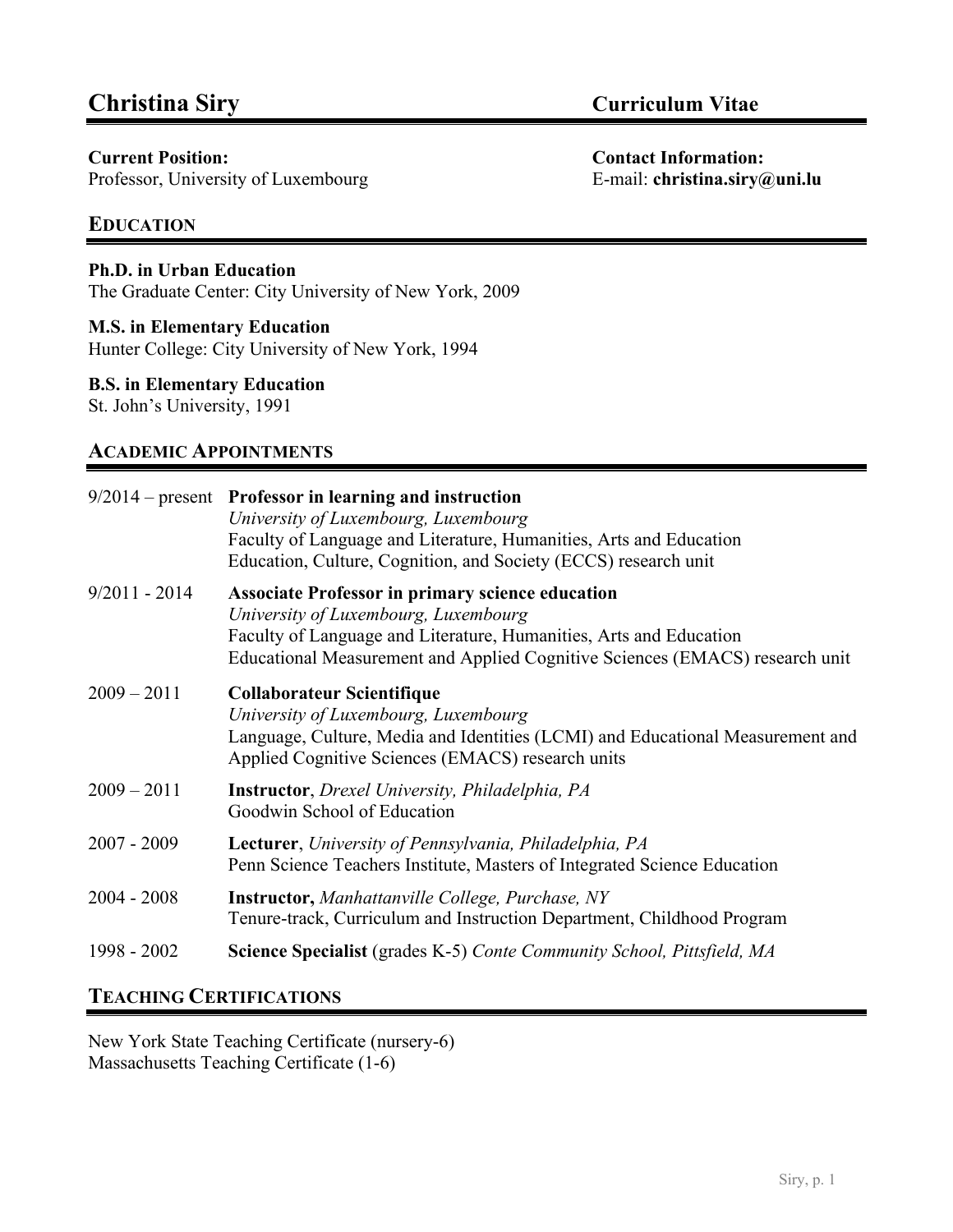Professor, University of Luxembourg E-mail: **christina.siry@uni.lu** 

# **EDUCATION**

## **Ph.D. in Urban Education**

The Graduate Center: City University of New York, 2009

## **M.S. in Elementary Education**

Hunter College: City University of New York, 1994

## **B.S. in Elementary Education**

St. John's University, 1991

# **ACADEMIC APPOINTMENTS**

|                 | $9/2014$ – present Professor in learning and instruction<br>University of Luxembourg, Luxembourg<br>Faculty of Language and Literature, Humanities, Arts and Education<br>Education, Culture, Cognition, and Society (ECCS) research unit             |
|-----------------|-------------------------------------------------------------------------------------------------------------------------------------------------------------------------------------------------------------------------------------------------------|
| $9/2011 - 2014$ | <b>Associate Professor in primary science education</b><br>University of Luxembourg, Luxembourg<br>Faculty of Language and Literature, Humanities, Arts and Education<br>Educational Measurement and Applied Cognitive Sciences (EMACS) research unit |
| $2009 - 2011$   | Collaborateur Scientifique<br>University of Luxembourg, Luxembourg<br>Language, Culture, Media and Identities (LCMI) and Educational Measurement and<br>Applied Cognitive Sciences (EMACS) research units                                             |
| $2009 - 2011$   | <b>Instructor</b> , <i>Drexel University</i> , <i>Philadelphia</i> , <i>PA</i><br>Goodwin School of Education                                                                                                                                         |
| $2007 - 2009$   | Lecturer, University of Pennsylvania, Philadelphia, PA<br>Penn Science Teachers Institute, Masters of Integrated Science Education                                                                                                                    |
| $2004 - 2008$   | <b>Instructor, Manhattanville College, Purchase, NY</b><br>Tenure-track, Curriculum and Instruction Department, Childhood Program                                                                                                                     |
| 1998 - 2002     | <b>Science Specialist</b> (grades K-5) Conte Community School, Pittsfield, MA                                                                                                                                                                         |

# **TEACHING CERTIFICATIONS**

New York State Teaching Certificate (nursery-6) Massachusetts Teaching Certificate (1-6)

**Current Position: Contact Information:**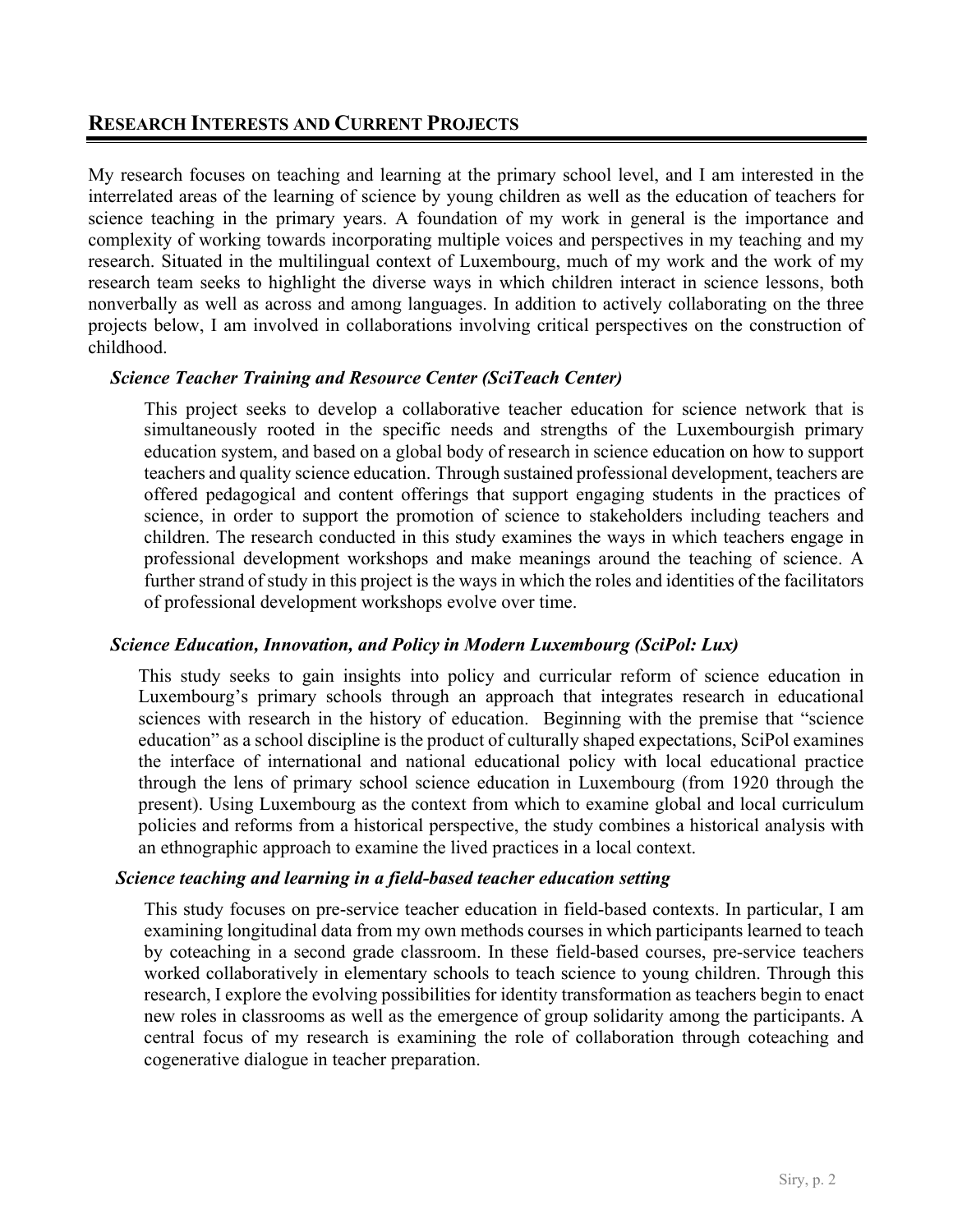# **RESEARCH INTERESTS AND CURRENT PROJECTS**

My research focuses on teaching and learning at the primary school level, and I am interested in the interrelated areas of the learning of science by young children as well as the education of teachers for science teaching in the primary years. A foundation of my work in general is the importance and complexity of working towards incorporating multiple voices and perspectives in my teaching and my research. Situated in the multilingual context of Luxembourg, much of my work and the work of my research team seeks to highlight the diverse ways in which children interact in science lessons, both nonverbally as well as across and among languages. In addition to actively collaborating on the three projects below, I am involved in collaborations involving critical perspectives on the construction of childhood.

## *Science Teacher Training and Resource Center (SciTeach Center)*

This project seeks to develop a collaborative teacher education for science network that is simultaneously rooted in the specific needs and strengths of the Luxembourgish primary education system, and based on a global body of research in science education on how to support teachers and quality science education. Through sustained professional development, teachers are offered pedagogical and content offerings that support engaging students in the practices of science, in order to support the promotion of science to stakeholders including teachers and children. The research conducted in this study examines the ways in which teachers engage in professional development workshops and make meanings around the teaching of science. A further strand of study in this project is the ways in which the roles and identities of the facilitators of professional development workshops evolve over time.

## *Science Education, Innovation, and Policy in Modern Luxembourg (SciPol: Lux)*

This study seeks to gain insights into policy and curricular reform of science education in Luxembourg's primary schools through an approach that integrates research in educational sciences with research in the history of education. Beginning with the premise that "science education" as a school discipline is the product of culturally shaped expectations, SciPol examines the interface of international and national educational policy with local educational practice through the lens of primary school science education in Luxembourg (from 1920 through the present). Using Luxembourg as the context from which to examine global and local curriculum policies and reforms from a historical perspective, the study combines a historical analysis with an ethnographic approach to examine the lived practices in a local context.

#### *Science teaching and learning in a field-based teacher education setting*

This study focuses on pre-service teacher education in field-based contexts. In particular, I am examining longitudinal data from my own methods courses in which participants learned to teach by coteaching in a second grade classroom. In these field-based courses, pre-service teachers worked collaboratively in elementary schools to teach science to young children. Through this research, I explore the evolving possibilities for identity transformation as teachers begin to enact new roles in classrooms as well as the emergence of group solidarity among the participants. A central focus of my research is examining the role of collaboration through coteaching and cogenerative dialogue in teacher preparation.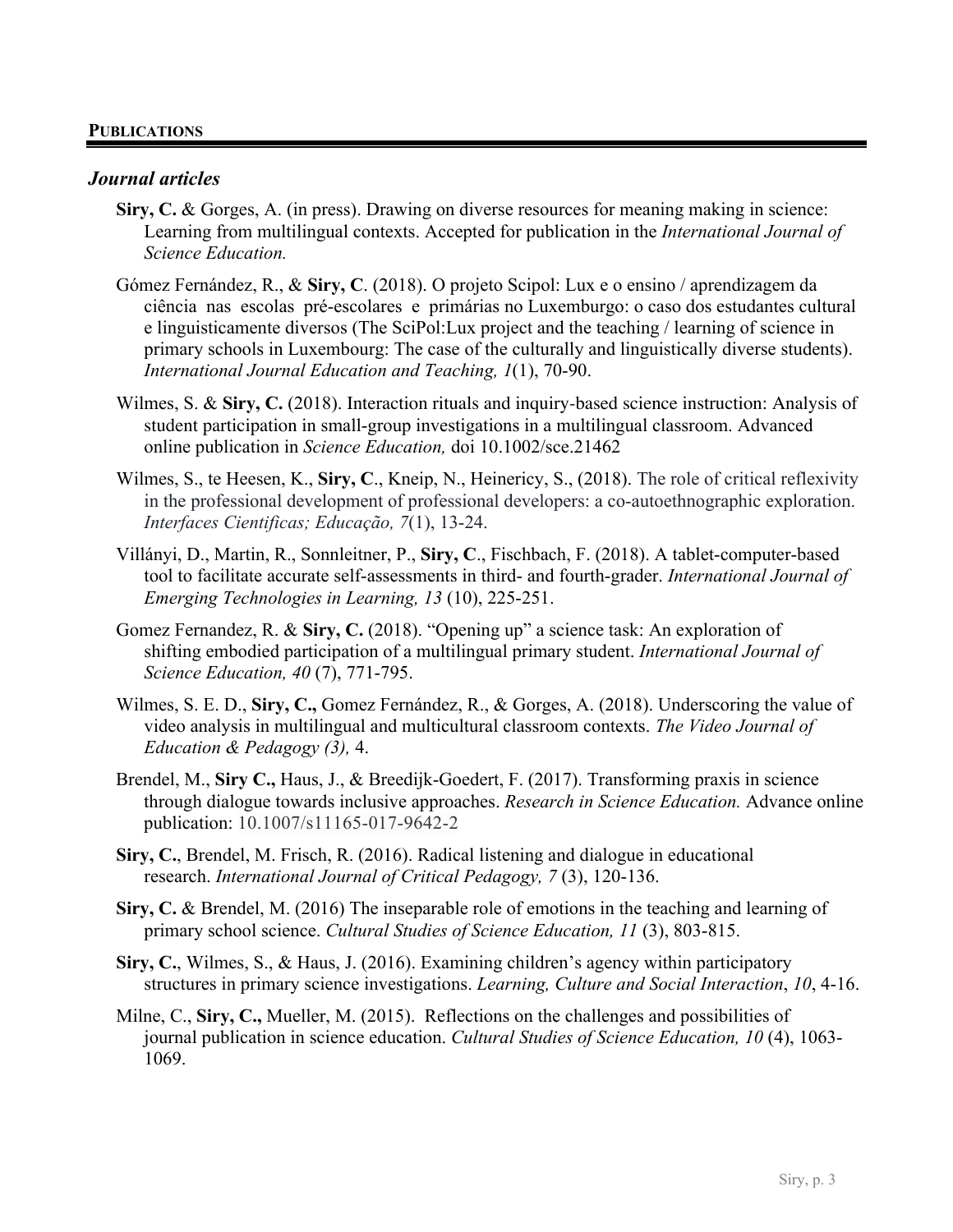#### **PUBLICATIONS**

#### *Journal articles*

- **Siry, C.** & Gorges, A. (in press). Drawing on diverse resources for meaning making in science: Learning from multilingual contexts. Accepted for publication in the *International Journal of Science Education.*
- Gómez Fernández, R., & **Siry, C**. (2018). O projeto Scipol: Lux e o ensino / aprendizagem da ciência nas escolas pré-escolares e primárias no Luxemburgo: o caso dos estudantes cultural e linguisticamente diversos (The SciPol:Lux project and the teaching / learning of science in primary schools in Luxembourg: The case of the culturally and linguistically diverse students). *International Journal Education and Teaching, 1*(1), 70-90.
- Wilmes, S. & **Siry, C.** (2018). Interaction rituals and inquiry-based science instruction: Analysis of student participation in small-group investigations in a multilingual classroom. Advanced online publication in *Science Education,* doi 10.1002/sce.21462
- Wilmes, S., te Heesen, K., **Siry, C**., Kneip, N., Heinericy, S., (2018). The role of critical reflexivity in the professional development of professional developers: a co-autoethnographic exploration. *Interfaces Cientificas; Educação, 7*(1), 13-24.
- Villányi, D., Martin, R., Sonnleitner, P., **Siry, C**., Fischbach, F. (2018). A tablet-computer-based tool to facilitate accurate self-assessments in third- and fourth-grader. *International Journal of Emerging Technologies in Learning, 13* (10), 225-251.
- Gomez Fernandez, R. & **Siry, C.** (2018). "Opening up" a science task: An exploration of shifting embodied participation of a multilingual primary student. *International Journal of Science Education, 40* (7), 771-795.
- Wilmes, S. E. D., **Siry, C.,** Gomez Fernández, R., & Gorges, A. (2018). Underscoring the value of video analysis in multilingual and multicultural classroom contexts. *The Video Journal of Education & Pedagogy (3),* 4.
- Brendel, M., **Siry C.,** Haus, J., & Breedijk-Goedert, F. (2017). Transforming praxis in science through dialogue towards inclusive approaches. *Research in Science Education.* Advance online publication: 10.1007/s11165-017-9642-2
- **Siry, C.**, Brendel, M. Frisch, R. (2016). Radical listening and dialogue in educational research. *International Journal of Critical Pedagogy, 7* (3), 120-136.
- **Siry, C.** & Brendel, M. (2016) The inseparable role of emotions in the teaching and learning of primary school science. *Cultural Studies of Science Education, 11* (3), 803-815.
- **Siry, C.**, Wilmes, S., & Haus, J. (2016). Examining children's agency within participatory structures in primary science investigations. *Learning, Culture and Social Interaction*, *10*, 4-16.
- Milne, C., **Siry, C.,** Mueller, M. (2015). Reflections on the challenges and possibilities of journal publication in science education. *Cultural Studies of Science Education, 10* (4), 1063- 1069.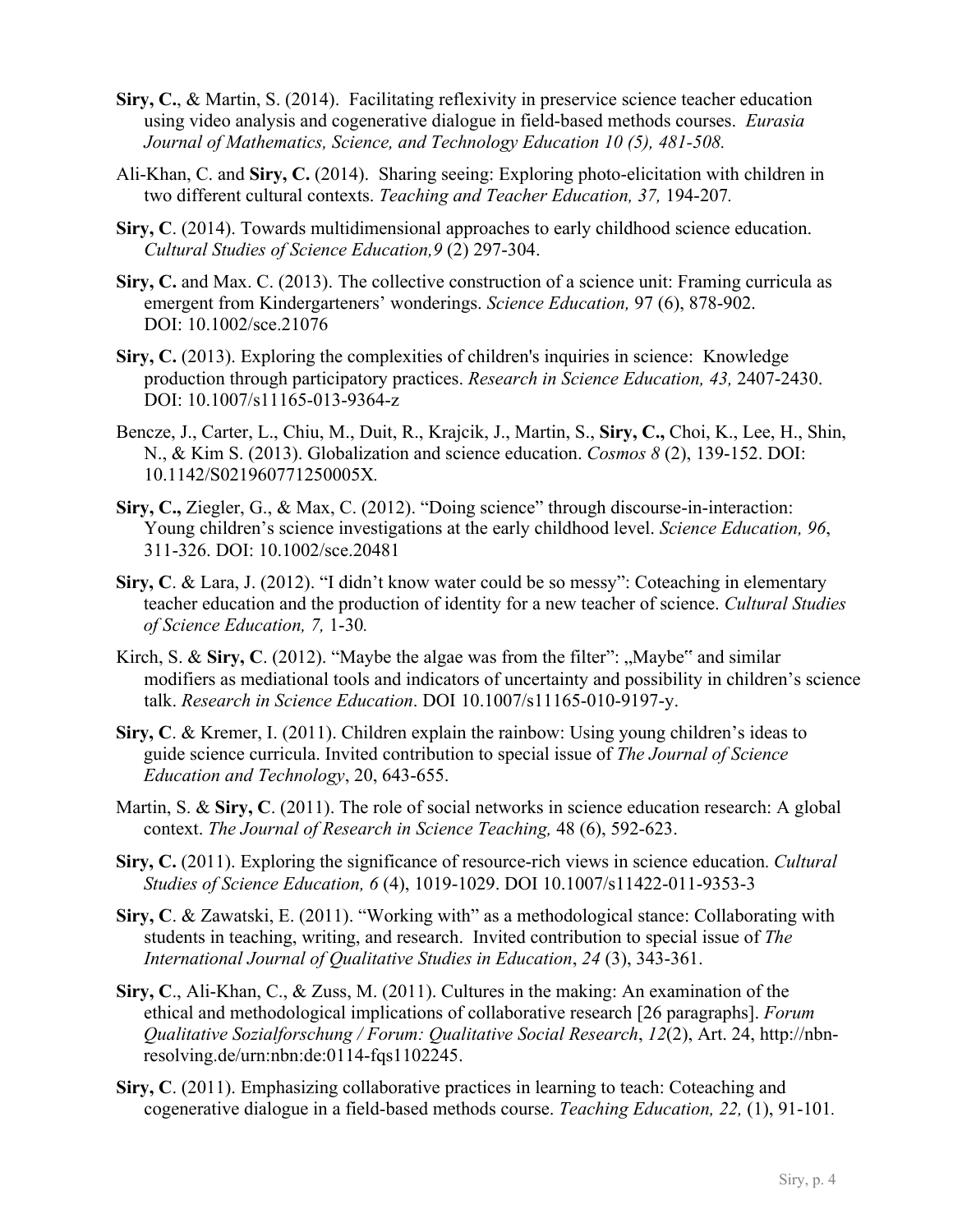- **Siry, C.**, & Martin, S. (2014). Facilitating reflexivity in preservice science teacher education using video analysis and cogenerative dialogue in field-based methods courses. *Eurasia Journal of Mathematics, Science, and Technology Education 10 (5), 481-508.*
- Ali-Khan, C. and **Siry, C.** (2014). Sharing seeing: Exploring photo-elicitation with children in two different cultural contexts. *Teaching and Teacher Education, 37,* 194-207*.*
- **Siry, C**. (2014). Towards multidimensional approaches to early childhood science education. *Cultural Studies of Science Education,9* (2) 297-304.
- **Siry, C.** and Max. C. (2013). The collective construction of a science unit: Framing curricula as emergent from Kindergarteners' wonderings. *Science Education,* 97 (6), 878-902. DOI: 10.1002/sce.21076
- **Siry, C.** (2013). Exploring the complexities of children's inquiries in science: Knowledge production through participatory practices. *Research in Science Education, 43,* 2407-2430. DOI: 10.1007/s11165-013-9364-z
- Bencze, J., Carter, L., Chiu, M., Duit, R., Krajcik, J., Martin, S., **Siry, C.,** Choi, K., Lee, H., Shin, N., & Kim S. (2013). Globalization and science education. *Cosmos 8* (2), 139-152. DOI: 10.1142/S021960771250005X*.*
- **Siry, C.,** Ziegler, G., & Max, C. (2012). "Doing science" through discourse-in-interaction: Young children's science investigations at the early childhood level. *Science Education, 96*, 311-326. DOI: 10.1002/sce.20481
- **Siry, C**. & Lara, J. (2012). "I didn't know water could be so messy": Coteaching in elementary teacher education and the production of identity for a new teacher of science. *Cultural Studies of Science Education, 7,* 1-30*.*
- Kirch, S. & Siry, C.  $(2012)$ . "Maybe the algae was from the filter": "Maybe" and similar modifiers as mediational tools and indicators of uncertainty and possibility in children's science talk. *Research in Science Education*. DOI 10.1007/s11165-010-9197-y.
- **Siry, C**. & Kremer, I. (2011). Children explain the rainbow: Using young children's ideas to guide science curricula. Invited contribution to special issue of *The Journal of Science Education and Technology*, 20, 643-655.
- Martin, S. & **Siry, C**. (2011). The role of social networks in science education research: A global context. *The Journal of Research in Science Teaching,* 48 (6), 592-623.
- **Siry, C.** (2011). Exploring the significance of resource-rich views in science education. *Cultural Studies of Science Education, 6* (4), 1019-1029. DOI 10.1007/s11422-011-9353-3
- **Siry, C**. & Zawatski, E. (2011). "Working with" as a methodological stance: Collaborating with students in teaching, writing, and research. Invited contribution to special issue of *The International Journal of Qualitative Studies in Education*, *24* (3), 343-361.
- **Siry, C**., Ali-Khan, C., & Zuss, M. (2011). Cultures in the making: An examination of the ethical and methodological implications of collaborative research [26 paragraphs]. *Forum Qualitative Sozialforschung / Forum: Qualitative Social Research*, *12*(2), Art. 24, http://nbnresolving.de/urn:nbn:de:0114-fqs1102245.
- **Siry, C**. (2011). Emphasizing collaborative practices in learning to teach: Coteaching and cogenerative dialogue in a field-based methods course. *Teaching Education, 22,* (1), 91-101*.*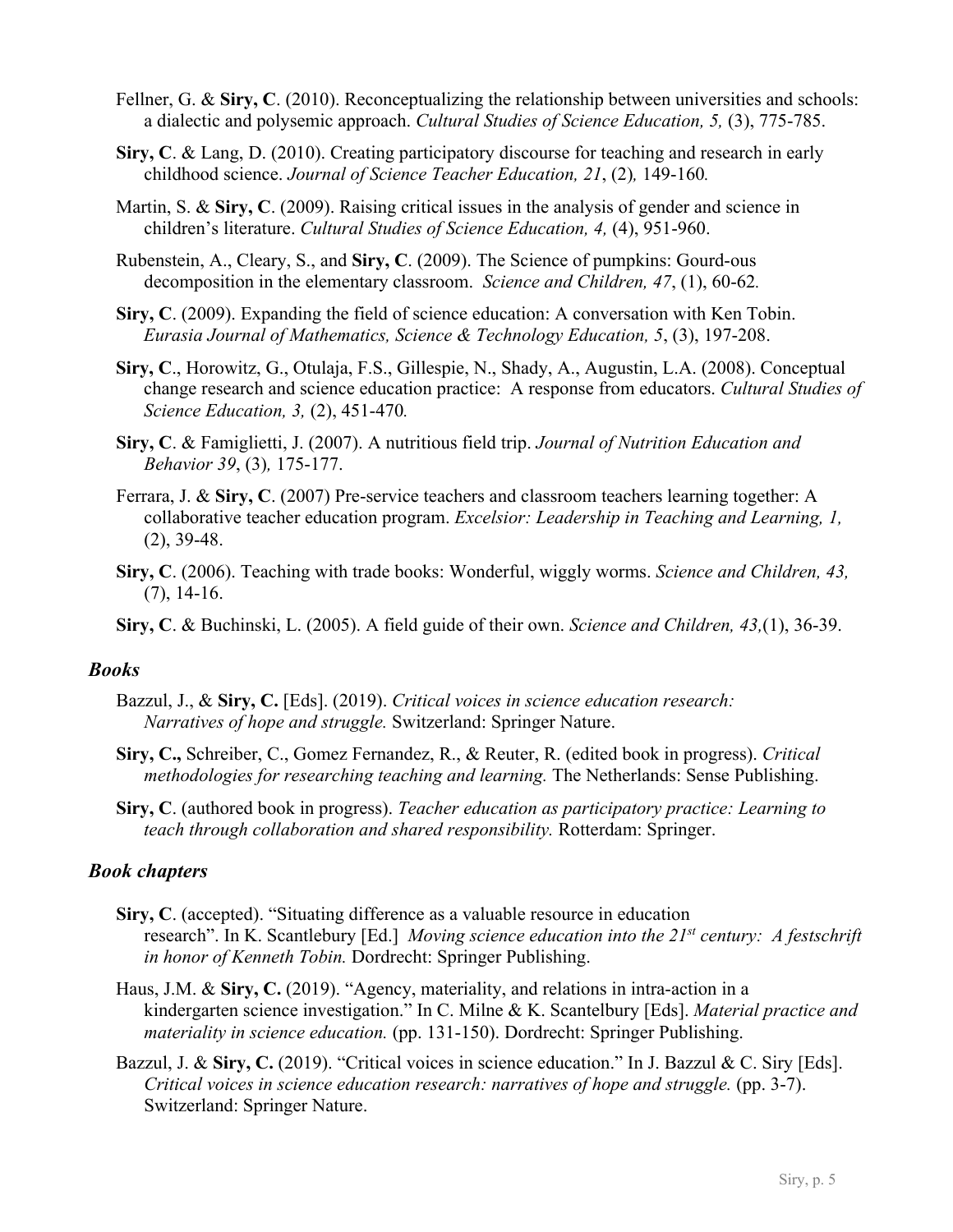- Fellner, G. & **Siry, C**. (2010). Reconceptualizing the relationship between universities and schools: a dialectic and polysemic approach. *Cultural Studies of Science Education, 5,* (3), 775-785.
- **Siry, C**. & Lang, D. (2010). Creating participatory discourse for teaching and research in early childhood science. *Journal of Science Teacher Education, 21*, (2)*,* 149-160*.*
- Martin, S. & **Siry, C**. (2009). Raising critical issues in the analysis of gender and science in children's literature. *Cultural Studies of Science Education, 4,* (4), 951-960.
- Rubenstein, A., Cleary, S., and **Siry, C**. (2009). The Science of pumpkins: Gourd-ous decomposition in the elementary classroom. *Science and Children, 47*, (1), 60-62*.*
- **Siry, C**. (2009). Expanding the field of science education: A conversation with Ken Tobin. *Eurasia Journal of Mathematics, Science & Technology Education, 5*, (3), 197-208.
- **Siry, C**., Horowitz, G., Otulaja, F.S., Gillespie, N., Shady, A., Augustin, L.A. (2008). Conceptual change research and science education practice: A response from educators. *Cultural Studies of Science Education, 3,* (2), 451-470*.*
- **Siry, C**. & Famiglietti, J. (2007). A nutritious field trip. *Journal of Nutrition Education and Behavior 39*, (3)*,* 175-177.
- Ferrara, J. & **Siry, C**. (2007) Pre-service teachers and classroom teachers learning together: A collaborative teacher education program. *Excelsior: Leadership in Teaching and Learning, 1,*  (2), 39-48.
- **Siry, C**. (2006). Teaching with trade books: Wonderful, wiggly worms. *Science and Children, 43,*  (7), 14-16.
- **Siry, C**. & Buchinski, L. (2005). A field guide of their own. *Science and Children, 43,*(1), 36-39.

#### *Books*

- Bazzul, J., & **Siry, C.** [Eds]. (2019). *Critical voices in science education research: Narratives of hope and struggle.* Switzerland: Springer Nature.
- **Siry, C.,** Schreiber, C., Gomez Fernandez, R., & Reuter, R. (edited book in progress). *Critical methodologies for researching teaching and learning.* The Netherlands: Sense Publishing.
- **Siry, C**. (authored book in progress). *Teacher education as participatory practice: Learning to teach through collaboration and shared responsibility.* Rotterdam: Springer.

#### *Book chapters*

- **Siry, C**. (accepted). "Situating difference as a valuable resource in education research". In K. Scantlebury [Ed.] *Moving science education into the 21st century: A festschrift in honor of Kenneth Tobin.* Dordrecht: Springer Publishing.
- Haus, J.M. & **Siry, C.** (2019). "Agency, materiality, and relations in intra-action in a kindergarten science investigation." In C. Milne & K. Scantelbury [Eds]. *Material practice and materiality in science education.* (pp. 131-150). Dordrecht: Springer Publishing.
- Bazzul, J. & **Siry, C.** (2019). "Critical voices in science education." In J. Bazzul & C. Siry [Eds]. *Critical voices in science education research: narratives of hope and struggle.* (pp. 3-7). Switzerland: Springer Nature.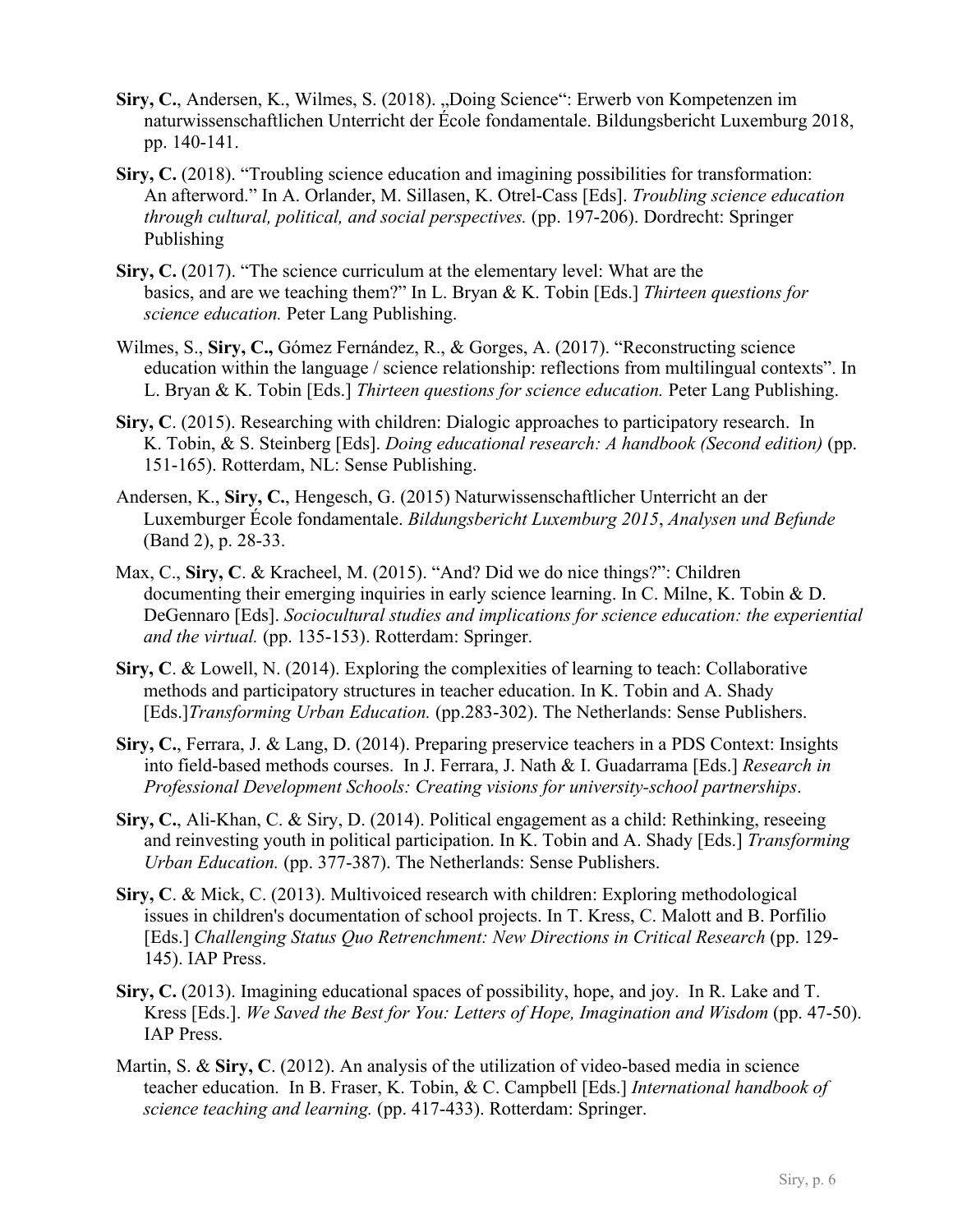- Siry, C., Andersen, K., Wilmes, S. (2018). "Doing Science": Erwerb von Kompetenzen im naturwissenschaftlichen Unterricht der École fondamentale. Bildungsbericht Luxemburg 2018, pp. 140-141.
- Siry, C. (2018). "Troubling science education and imagining possibilities for transformation: An afterword." In A. Orlander, M. Sillasen, K. Otrel-Cass [Eds]. *Troubling science education through cultural, political, and social perspectives.* (pp. 197-206). Dordrecht: Springer Publishing
- **Siry, C.** (2017). "The science curriculum at the elementary level: What are the basics, and are we teaching them?" In L. Bryan & K. Tobin [Eds.] *Thirteen questions for science education.* Peter Lang Publishing.
- Wilmes, S., **Siry, C.,** Gómez Fernández, R., & Gorges, A. (2017). "Reconstructing science education within the language / science relationship: reflections from multilingual contexts". In L. Bryan & K. Tobin [Eds.] *Thirteen questions for science education.* Peter Lang Publishing.
- **Siry, C**. (2015). Researching with children: Dialogic approaches to participatory research. In K. Tobin, & S. Steinberg [Eds]. *Doing educational research: A handbook (Second edition)* (pp. 151-165). Rotterdam, NL: Sense Publishing.
- Andersen, K., **Siry, C.**, Hengesch, G. (2015) Naturwissenschaftlicher Unterricht an der Luxemburger École fondamentale. *Bildungsbericht Luxemburg 2015*, *Analysen und Befunde* (Band 2), p. 28-33.
- Max, C., **Siry, C**. & Kracheel, M. (2015). "And? Did we do nice things?": Children documenting their emerging inquiries in early science learning. In C. Milne, K. Tobin & D. DeGennaro [Eds]. *Sociocultural studies and implications for science education: the experiential and the virtual.* (pp. 135-153). Rotterdam: Springer.
- **Siry, C**. & Lowell, N. (2014). Exploring the complexities of learning to teach: Collaborative methods and participatory structures in teacher education. In K. Tobin and A. Shady [Eds.]*Transforming Urban Education.* (pp.283-302). The Netherlands: Sense Publishers.
- **Siry, C.**, Ferrara, J. & Lang, D. (2014). Preparing preservice teachers in a PDS Context: Insights into field-based methods courses. In J. Ferrara, J. Nath & I. Guadarrama [Eds.] *Research in Professional Development Schools: Creating visions for university-school partnerships*.
- **Siry, C.**, Ali-Khan, C. & Siry, D. (2014). Political engagement as a child: Rethinking, reseeing and reinvesting youth in political participation. In K. Tobin and A. Shady [Eds.] *Transforming Urban Education.* (pp. 377-387). The Netherlands: Sense Publishers.
- **Siry, C**. & Mick, C. (2013). Multivoiced research with children: Exploring methodological issues in children's documentation of school projects. In T. Kress, C. Malott and B. Porfilio [Eds.] *Challenging Status Quo Retrenchment: New Directions in Critical Research* (pp. 129- 145). IAP Press.
- **Siry, C.** (2013). Imagining educational spaces of possibility, hope, and joy. In R. Lake and T. Kress [Eds.]. *We Saved the Best for You: Letters of Hope, Imagination and Wisdom* (pp. 47-50). IAP Press.
- Martin, S. & **Siry, C**. (2012). An analysis of the utilization of video-based media in science teacher education. In B. Fraser, K. Tobin, & C. Campbell [Eds.] *International handbook of science teaching and learning.* (pp. 417-433). Rotterdam: Springer.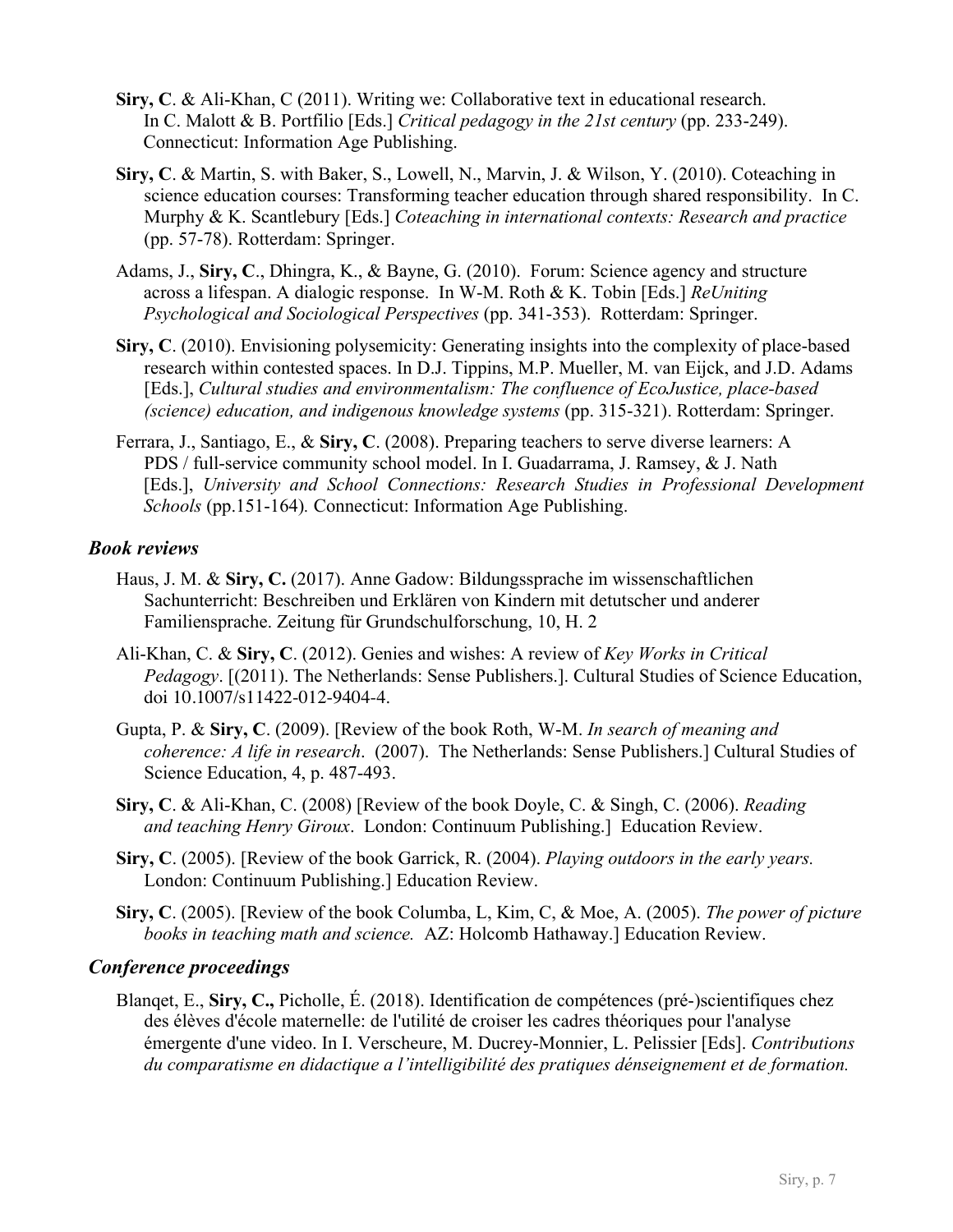- **Siry, C**. & Ali-Khan, C (2011). Writing we: Collaborative text in educational research. In C. Malott & B. Portfilio [Eds.] *Critical pedagogy in the 21st century* (pp. 233-249). Connecticut: Information Age Publishing.
- **Siry, C**. & Martin, S. with Baker, S., Lowell, N., Marvin, J. & Wilson, Y. (2010). Coteaching in science education courses: Transforming teacher education through shared responsibility. In C. Murphy & K. Scantlebury [Eds.] *Coteaching in international contexts: Research and practice*  (pp. 57-78). Rotterdam: Springer.
- Adams, J., **Siry, C**., Dhingra, K., & Bayne, G. (2010). Forum: Science agency and structure across a lifespan. A dialogic response. In W-M. Roth & K. Tobin [Eds.] *ReUniting Psychological and Sociological Perspectives* (pp. 341-353). Rotterdam: Springer.
- **Siry, C**. (2010). Envisioning polysemicity: Generating insights into the complexity of place-based research within contested spaces. In D.J. Tippins, M.P. Mueller, M. van Eijck, and J.D. Adams [Eds.], *Cultural studies and environmentalism: The confluence of EcoJustice, place-based (science) education, and indigenous knowledge systems* (pp. 315-321). Rotterdam: Springer.
- Ferrara, J., Santiago, E., & **Siry, C**. (2008). Preparing teachers to serve diverse learners: A PDS / full-service community school model. In I. Guadarrama, J. Ramsey, & J. Nath [Eds.], *University and School Connections: Research Studies in Professional Development Schools* (pp.151-164)*.* Connecticut: Information Age Publishing.

## *Book reviews*

- Haus, J. M. & **Siry, C.** (2017). Anne Gadow: Bildungssprache im wissenschaftlichen Sachunterricht: Beschreiben und Erklären von Kindern mit detutscher und anderer Familiensprache. Zeitung für Grundschulforschung, 10, H. 2
- Ali-Khan, C. & **Siry, C**. (2012). Genies and wishes: A review of *Key Works in Critical Pedagogy*. [(2011). The Netherlands: Sense Publishers.]. Cultural Studies of Science Education, doi 10.1007/s11422-012-9404-4.
- Gupta, P. & **Siry, C**. (2009). [Review of the book Roth, W-M. *In search of meaning and coherence: A life in research*. (2007). The Netherlands: Sense Publishers.] Cultural Studies of Science Education, 4, p. 487-493.
- **Siry, C**. & Ali-Khan, C. (2008) [Review of the book Doyle, C. & Singh, C. (2006). *Reading and teaching Henry Giroux*. London: Continuum Publishing.] Education Review.
- **Siry, C**. (2005). [Review of the book Garrick, R. (2004). *Playing outdoors in the early years.* London: Continuum Publishing.] Education Review.
- **Siry, C**. (2005). [Review of the book Columba, L, Kim, C, & Moe, A. (2005). *The power of picture books in teaching math and science.* AZ: Holcomb Hathaway.] Education Review.

#### *Conference proceedings*

Blanqet, E., **Siry, C.,** Picholle, É. (2018). Identification de compétences (pré-)scientifiques chez des élèves d'école maternelle: de l'utilité de croiser les cadres théoriques pour l'analyse émergente d'une video. In I. Verscheure, M. Ducrey-Monnier, L. Pelissier [Eds]. *Contributions du comparatisme en didactique a l'intelligibilité des pratiques dénseignement et de formation.*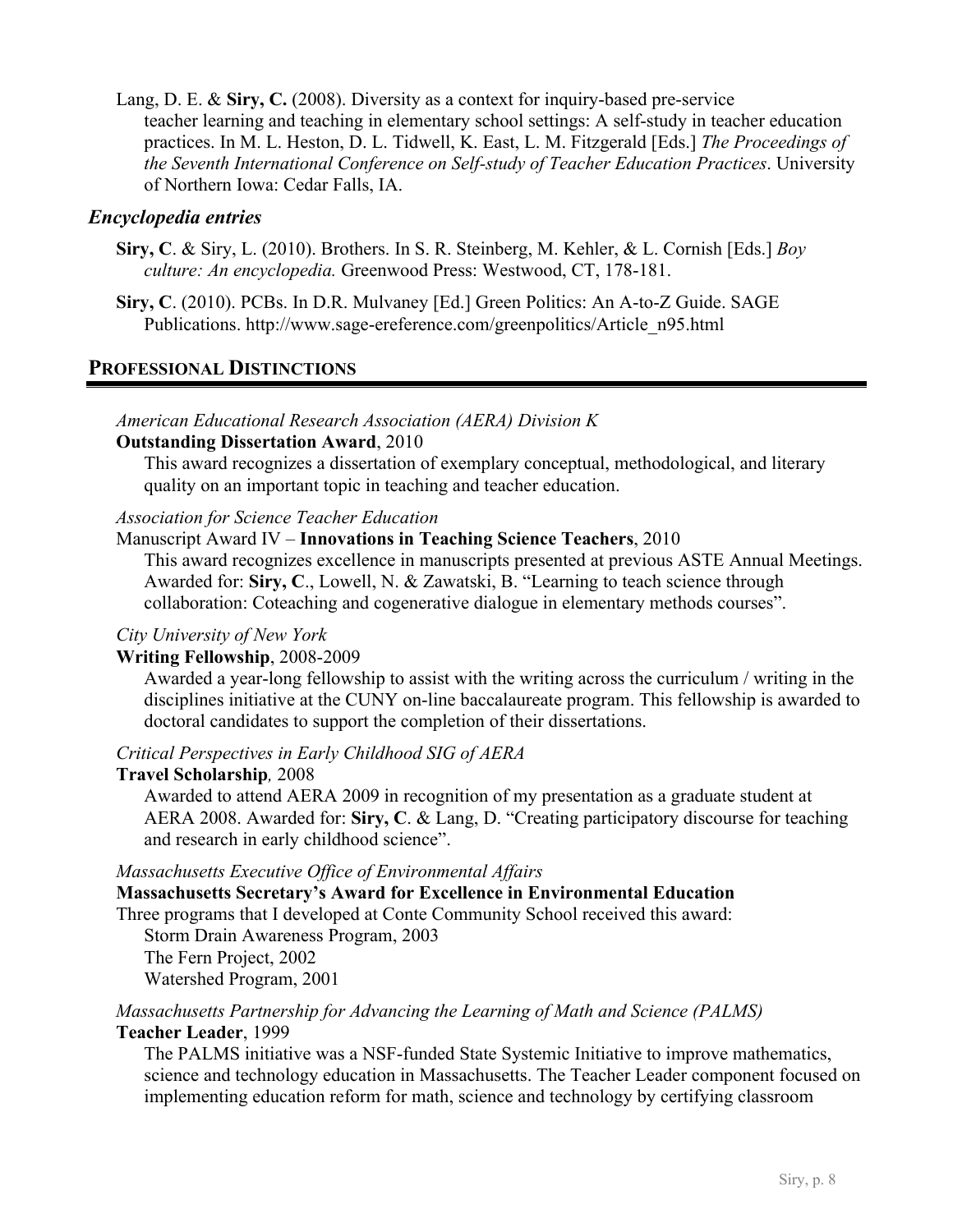Lang, D. E. & **Siry, C.** (2008). Diversity as a context for inquiry-based pre-service teacher learning and teaching in elementary school settings: A self-study in teacher education practices. In M. L. Heston, D. L. Tidwell, K. East, L. M. Fitzgerald [Eds.] *The Proceedings of the Seventh International Conference on Self-study of Teacher Education Practices*. University of Northern Iowa: Cedar Falls, IA.

## *Encyclopedia entries*

- **Siry, C**. & Siry, L. (2010). Brothers. In S. R. Steinberg, M. Kehler, & L. Cornish [Eds.] *Boy culture: An encyclopedia.* Greenwood Press: Westwood, CT, 178-181.
- **Siry, C**. (2010). PCBs. In D.R. Mulvaney [Ed.] Green Politics: An A-to-Z Guide. SAGE Publications. http://www.sage-ereference.com/greenpolitics/Article\_n95.html

## **PROFESSIONAL DISTINCTIONS**

## *American Educational Research Association (AERA) Division K*

#### **Outstanding Dissertation Award**, 2010

This award recognizes a dissertation of exemplary conceptual, methodological, and literary quality on an important topic in teaching and teacher education.

#### *Association for Science Teacher Education*

## Manuscript Award IV – **Innovations in Teaching Science Teachers**, 2010

This award recognizes excellence in manuscripts presented at previous ASTE Annual Meetings. Awarded for: **Siry, C**., Lowell, N. & Zawatski, B. "Learning to teach science through collaboration: Coteaching and cogenerative dialogue in elementary methods courses".

#### *City University of New York*

#### **Writing Fellowship**, 2008-2009

Awarded a year-long fellowship to assist with the writing across the curriculum / writing in the disciplines initiative at the CUNY on-line baccalaureate program. This fellowship is awarded to doctoral candidates to support the completion of their dissertations.

#### *Critical Perspectives in Early Childhood SIG of AERA*

#### **Travel Scholarship***,* 2008

Awarded to attend AERA 2009 in recognition of my presentation as a graduate student at AERA 2008. Awarded for: **Siry, C**. & Lang, D. "Creating participatory discourse for teaching and research in early childhood science".

#### *Massachusetts Executive Office of Environmental Affairs*

## **Massachusetts Secretary's Award for Excellence in Environmental Education**

Three programs that I developed at Conte Community School received this award:

Storm Drain Awareness Program, 2003 The Fern Project, 2002

Watershed Program, 2001

#### *Massachusetts Partnership for Advancing the Learning of Math and Science (PALMS)* **Teacher Leader**, 1999

The PALMS initiative was a NSF-funded State Systemic Initiative to improve mathematics, science and technology education in Massachusetts. The Teacher Leader component focused on implementing education reform for math, science and technology by certifying classroom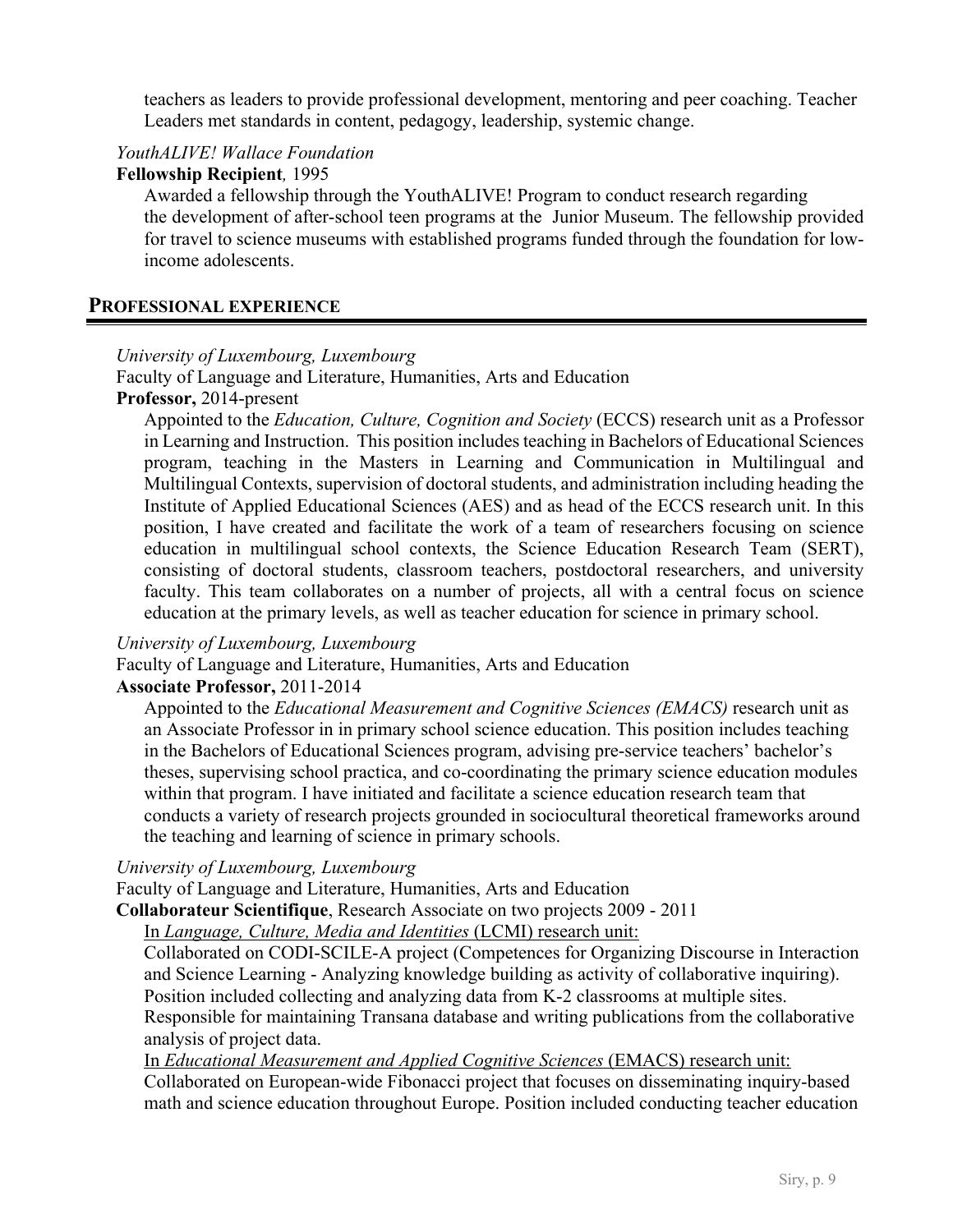teachers as leaders to provide professional development, mentoring and peer coaching. Teacher Leaders met standards in content, pedagogy, leadership, systemic change.

## *YouthALIVE! Wallace Foundation*

#### **Fellowship Recipient***,* 1995

Awarded a fellowship through the YouthALIVE! Program to conduct research regarding the development of after-school teen programs at the Junior Museum. The fellowship provided for travel to science museums with established programs funded through the foundation for lowincome adolescents.

## **PROFESSIONAL EXPERIENCE**

#### *University of Luxembourg, Luxembourg*

Faculty of Language and Literature, Humanities, Arts and Education

## **Professor,** 2014-present

Appointed to the *Education, Culture, Cognition and Society* (ECCS) research unit as a Professor in Learning and Instruction. This position includes teaching in Bachelors of Educational Sciences program, teaching in the Masters in Learning and Communication in Multilingual and Multilingual Contexts, supervision of doctoral students, and administration including heading the Institute of Applied Educational Sciences (AES) and as head of the ECCS research unit. In this position, I have created and facilitate the work of a team of researchers focusing on science education in multilingual school contexts, the Science Education Research Team (SERT), consisting of doctoral students, classroom teachers, postdoctoral researchers, and university faculty. This team collaborates on a number of projects, all with a central focus on science education at the primary levels, as well as teacher education for science in primary school.

#### *University of Luxembourg, Luxembourg*

Faculty of Language and Literature, Humanities, Arts and Education

#### **Associate Professor,** 2011-2014

Appointed to the *Educational Measurement and Cognitive Sciences (EMACS)* research unit as an Associate Professor in in primary school science education. This position includes teaching in the Bachelors of Educational Sciences program, advising pre-service teachers' bachelor's theses, supervising school practica, and co-coordinating the primary science education modules within that program. I have initiated and facilitate a science education research team that conducts a variety of research projects grounded in sociocultural theoretical frameworks around the teaching and learning of science in primary schools.

#### *University of Luxembourg, Luxembourg*

Faculty of Language and Literature, Humanities, Arts and Education

**Collaborateur Scientifique**, Research Associate on two projects 2009 - 2011

In *Language, Culture, Media and Identities* (LCMI) research unit:

Collaborated on CODI-SCILE-A project (Competences for Organizing Discourse in Interaction and Science Learning - Analyzing knowledge building as activity of collaborative inquiring). Position included collecting and analyzing data from K-2 classrooms at multiple sites. Responsible for maintaining Transana database and writing publications from the collaborative analysis of project data.

In *Educational Measurement and Applied Cognitive Sciences* (EMACS) research unit:

Collaborated on European-wide Fibonacci project that focuses on disseminating inquiry-based math and science education throughout Europe. Position included conducting teacher education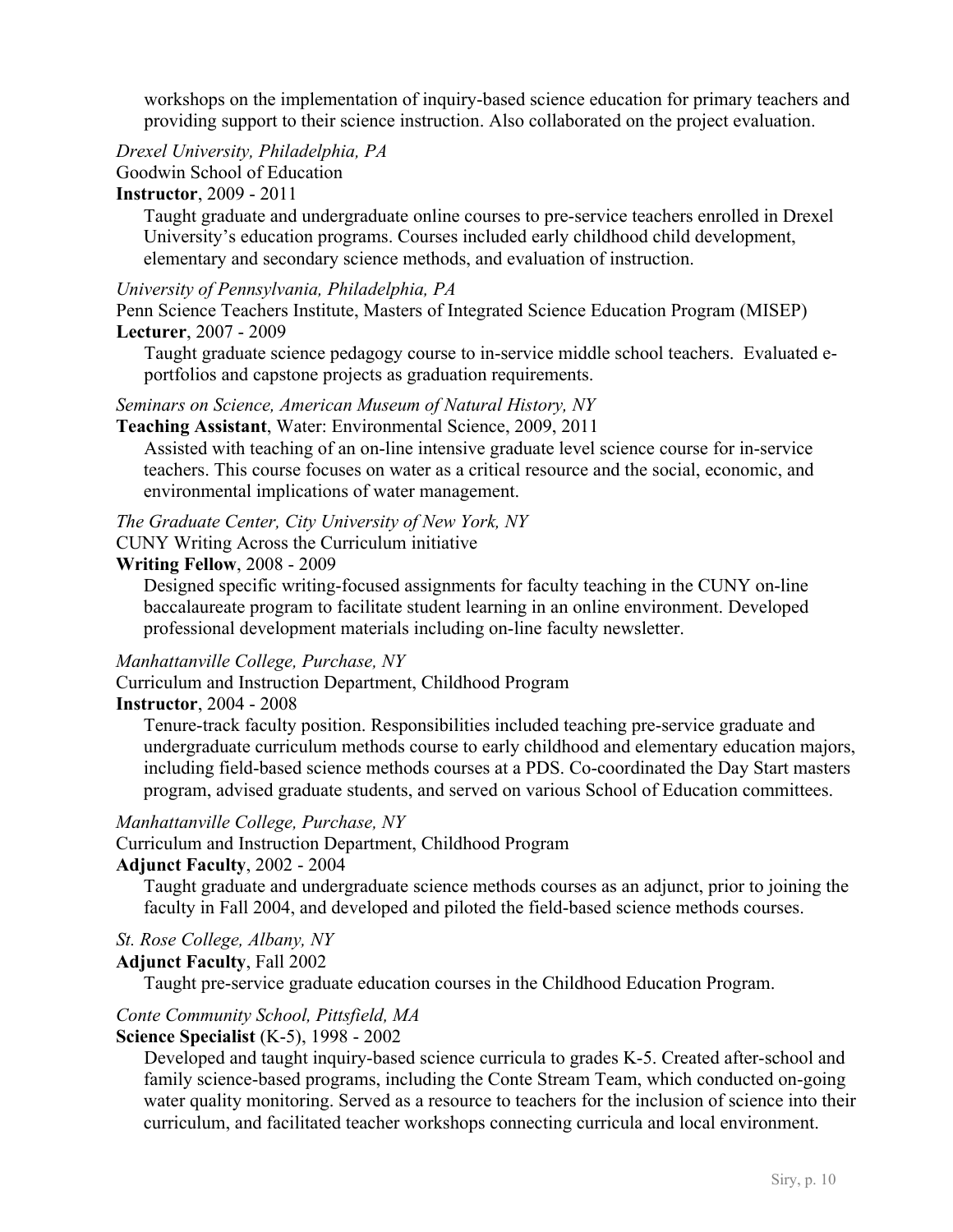workshops on the implementation of inquiry-based science education for primary teachers and providing support to their science instruction. Also collaborated on the project evaluation.

*Drexel University, Philadelphia, PA*

# Goodwin School of Education

# **Instructor**, 2009 - 2011

Taught graduate and undergraduate online courses to pre-service teachers enrolled in Drexel University's education programs. Courses included early childhood child development, elementary and secondary science methods, and evaluation of instruction.

## *University of Pennsylvania, Philadelphia, PA*

Penn Science Teachers Institute, Masters of Integrated Science Education Program (MISEP) **Lecturer**, 2007 - 2009

Taught graduate science pedagogy course to in-service middle school teachers. Evaluated eportfolios and capstone projects as graduation requirements.

## *Seminars on Science, American Museum of Natural History, NY*

#### **Teaching Assistant**, Water: Environmental Science, 2009, 2011

Assisted with teaching of an on-line intensive graduate level science course for in-service teachers. This course focuses on water as a critical resource and the social, economic, and environmental implications of water management.

*The Graduate Center, City University of New York, NY*

CUNY Writing Across the Curriculum initiative

## **Writing Fellow**, 2008 - 2009

Designed specific writing-focused assignments for faculty teaching in the CUNY on-line baccalaureate program to facilitate student learning in an online environment. Developed professional development materials including on-line faculty newsletter.

## *Manhattanville College, Purchase, NY*

Curriculum and Instruction Department, Childhood Program

#### **Instructor**, 2004 - 2008

Tenure-track faculty position. Responsibilities included teaching pre-service graduate and undergraduate curriculum methods course to early childhood and elementary education majors, including field-based science methods courses at a PDS. Co-coordinated the Day Start masters program, advised graduate students, and served on various School of Education committees.

#### *Manhattanville College, Purchase, NY*

Curriculum and Instruction Department, Childhood Program

#### **Adjunct Faculty**, 2002 - 2004

Taught graduate and undergraduate science methods courses as an adjunct, prior to joining the faculty in Fall 2004, and developed and piloted the field-based science methods courses.

## *St. Rose College, Albany, NY*

## **Adjunct Faculty**, Fall 2002

Taught pre-service graduate education courses in the Childhood Education Program.

## *Conte Community School, Pittsfield, MA*

#### **Science Specialist** (K-5), 1998 - 2002

Developed and taught inquiry-based science curricula to grades K-5. Created after-school and family science-based programs, including the Conte Stream Team, which conducted on-going water quality monitoring. Served as a resource to teachers for the inclusion of science into their curriculum, and facilitated teacher workshops connecting curricula and local environment.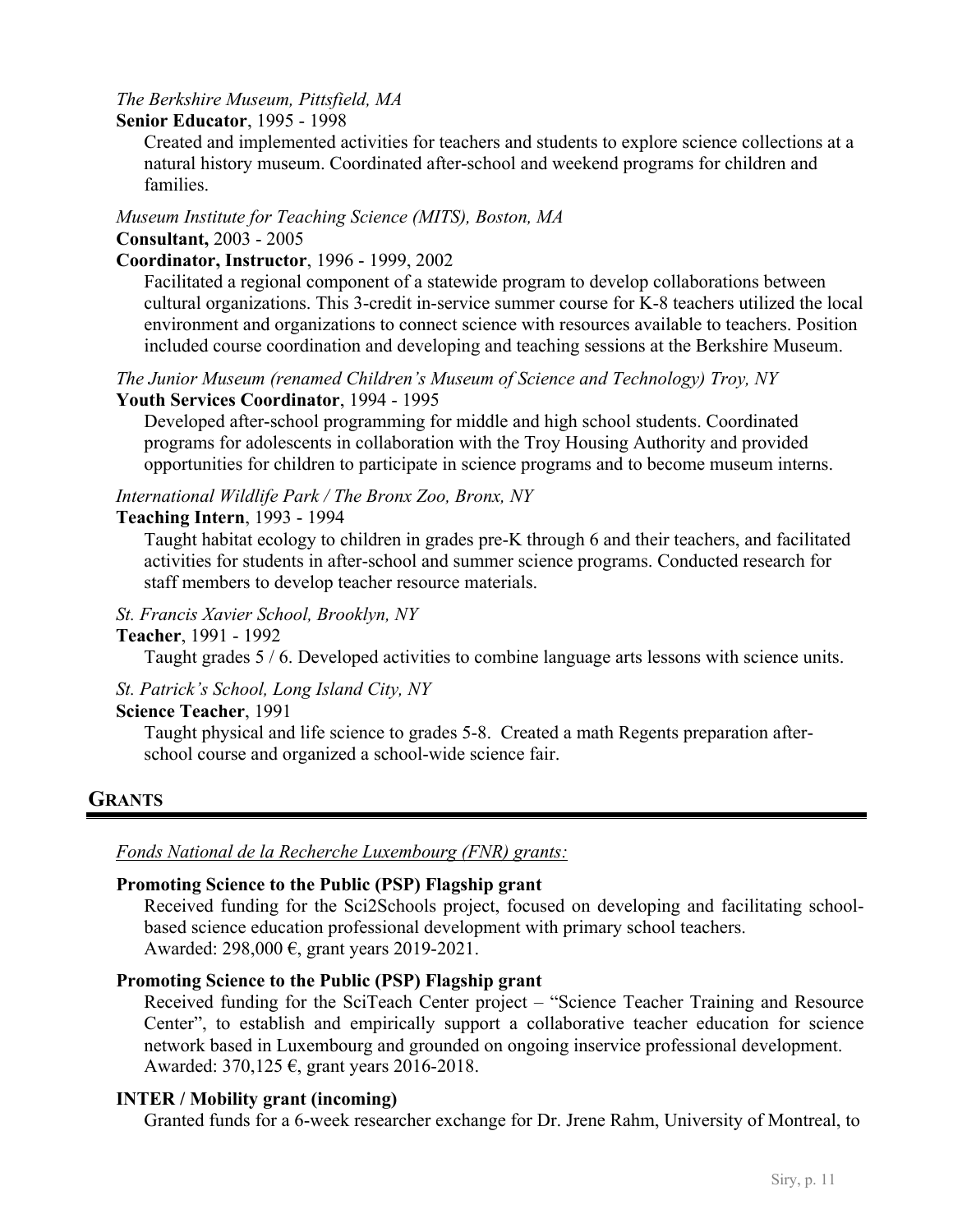## *The Berkshire Museum, Pittsfield, MA*

#### **Senior Educator**, 1995 - 1998

Created and implemented activities for teachers and students to explore science collections at a natural history museum. Coordinated after-school and weekend programs for children and families.

# *Museum Institute for Teaching Science (MITS), Boston, MA*

#### **Consultant,** 2003 - 2005

## **Coordinator, Instructor**, 1996 - 1999, 2002

Facilitated a regional component of a statewide program to develop collaborations between cultural organizations. This 3-credit in-service summer course for K-8 teachers utilized the local environment and organizations to connect science with resources available to teachers. Position included course coordination and developing and teaching sessions at the Berkshire Museum.

#### *The Junior Museum (renamed Children's Museum of Science and Technology) Troy, NY* **Youth Services Coordinator**, 1994 - 1995

Developed after-school programming for middle and high school students. Coordinated programs for adolescents in collaboration with the Troy Housing Authority and provided opportunities for children to participate in science programs and to become museum interns.

## *International Wildlife Park / The Bronx Zoo, Bronx, NY*

## **Teaching Intern**, 1993 - 1994

Taught habitat ecology to children in grades pre-K through 6 and their teachers, and facilitated activities for students in after-school and summer science programs. Conducted research for staff members to develop teacher resource materials.

#### *St. Francis Xavier School, Brooklyn, NY*

#### **Teacher**, 1991 - 1992

Taught grades 5 / 6. Developed activities to combine language arts lessons with science units.

#### *St. Patrick's School, Long Island City, NY*

#### **Science Teacher**, 1991

Taught physical and life science to grades 5-8. Created a math Regents preparation afterschool course and organized a school-wide science fair.

## **GRANTS**

*Fonds National de la Recherche Luxembourg (FNR) grants:*

## **Promoting Science to the Public (PSP) Flagship grant**

Received funding for the Sci2Schools project, focused on developing and facilitating schoolbased science education professional development with primary school teachers. Awarded: 298,000 €, grant years 2019-2021.

#### **Promoting Science to the Public (PSP) Flagship grant**

Received funding for the SciTeach Center project – "Science Teacher Training and Resource Center", to establish and empirically support a collaborative teacher education for science network based in Luxembourg and grounded on ongoing inservice professional development. Awarded: 370,125 €, grant years 2016-2018.

#### **INTER / Mobility grant (incoming)**

Granted funds for a 6-week researcher exchange for Dr. Jrene Rahm, University of Montreal, to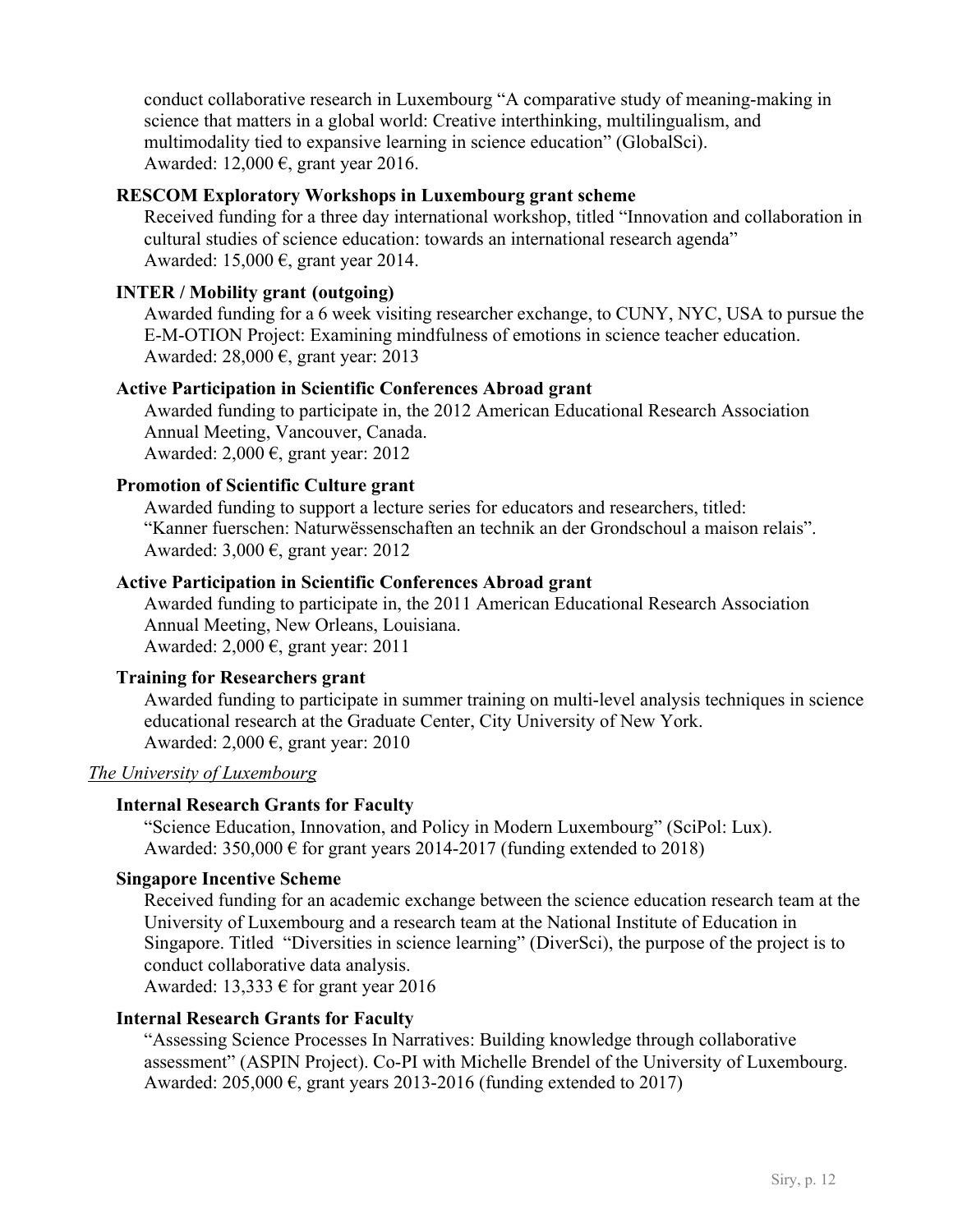conduct collaborative research in Luxembourg "A comparative study of meaning-making in science that matters in a global world: Creative interthinking, multilingualism, and multimodality tied to expansive learning in science education" (GlobalSci). Awarded: 12,000 €, grant year 2016.

## **RESCOM Exploratory Workshops in Luxembourg grant scheme**

Received funding for a three day international workshop, titled "Innovation and collaboration in cultural studies of science education: towards an international research agenda" Awarded: 15,000  $\epsilon$ , grant year 2014.

#### **INTER / Mobility grant (outgoing)**

Awarded funding for a 6 week visiting researcher exchange, to CUNY, NYC, USA to pursue the E-M-OTION Project: Examining mindfulness of emotions in science teacher education. Awarded:  $28,000 \text{ } \infty$ , grant year: 2013

#### **Active Participation in Scientific Conferences Abroad grant**

Awarded funding to participate in, the 2012 American Educational Research Association Annual Meeting, Vancouver, Canada. Awarded:  $2,000 \text{ } \infty$ , grant year: 2012

#### **Promotion of Scientific Culture grant**

Awarded funding to support a lecture series for educators and researchers, titled: "Kanner fuerschen: Naturwëssenschaften an technik an der Grondschoul a maison relais". Awarded: 3,000 €, grant year: 2012

#### **Active Participation in Scientific Conferences Abroad grant**

Awarded funding to participate in, the 2011 American Educational Research Association Annual Meeting, New Orleans, Louisiana. Awarded: 2,000  $\epsilon$ , grant year: 2011

#### **Training for Researchers grant**

Awarded funding to participate in summer training on multi-level analysis techniques in science educational research at the Graduate Center, City University of New York. Awarded:  $2,000 \text{ } \infty$ , grant year: 2010

## *The University of Luxembourg*

#### **Internal Research Grants for Faculty**

"Science Education, Innovation, and Policy in Modern Luxembourg" (SciPol: Lux). Awarded:  $350,000 \text{ } \in$  for grant years 2014-2017 (funding extended to 2018)

#### **Singapore Incentive Scheme**

Received funding for an academic exchange between the science education research team at the University of Luxembourg and a research team at the National Institute of Education in Singapore. Titled "Diversities in science learning" (DiverSci), the purpose of the project is to conduct collaborative data analysis.

Awarded: 13,333  $\epsilon$  for grant year 2016

#### **Internal Research Grants for Faculty**

"Assessing Science Processes In Narratives: Building knowledge through collaborative assessment" (ASPIN Project). Co-PI with Michelle Brendel of the University of Luxembourg. Awarded:  $205,000 \text{ } \epsilon$ , grant years 2013-2016 (funding extended to 2017)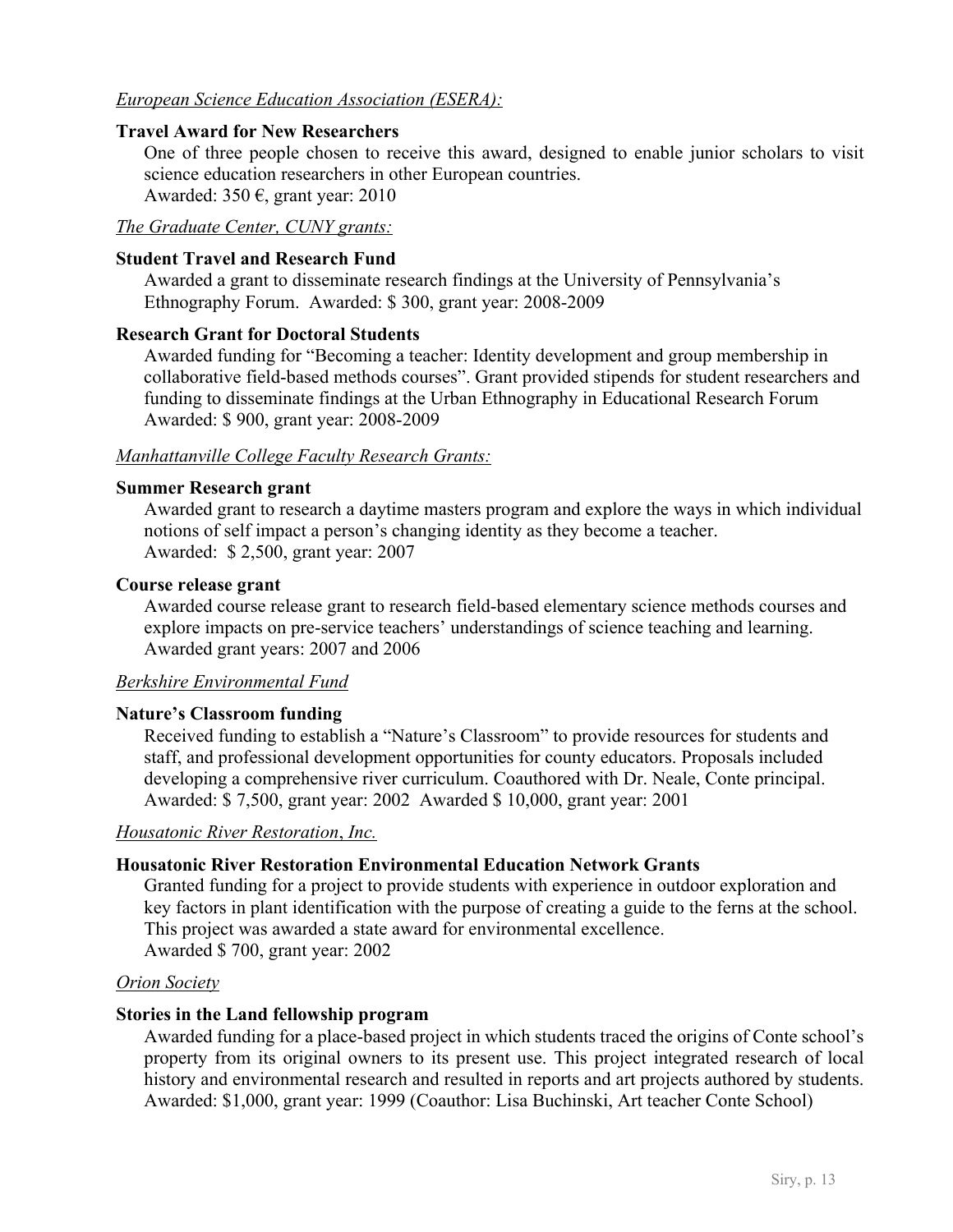## *European Science Education Association (ESERA):*

#### **Travel Award for New Researchers**

One of three people chosen to receive this award, designed to enable junior scholars to visit science education researchers in other European countries.

Awarded: 350  $\epsilon$ , grant year: 2010

## *The Graduate Center, CUNY grants:*

#### **Student Travel and Research Fund**

Awarded a grant to disseminate research findings at the University of Pennsylvania's Ethnography Forum. Awarded: \$ 300, grant year: 2008-2009

#### **Research Grant for Doctoral Students**

Awarded funding for "Becoming a teacher: Identity development and group membership in collaborative field-based methods courses". Grant provided stipends for student researchers and funding to disseminate findings at the Urban Ethnography in Educational Research Forum Awarded: \$ 900, grant year: 2008-2009

#### *Manhattanville College Faculty Research Grants:*

#### **Summer Research grant**

Awarded grant to research a daytime masters program and explore the ways in which individual notions of self impact a person's changing identity as they become a teacher. Awarded: \$ 2,500, grant year: 2007

#### **Course release grant**

Awarded course release grant to research field-based elementary science methods courses and explore impacts on pre-service teachers' understandings of science teaching and learning. Awarded grant years: 2007 and 2006

#### *Berkshire Environmental Fund*

#### **Nature's Classroom funding**

Received funding to establish a "Nature's Classroom" to provide resources for students and staff, and professional development opportunities for county educators. Proposals included developing a comprehensive river curriculum. Coauthored with Dr. Neale, Conte principal. Awarded: \$ 7,500, grant year: 2002 Awarded \$ 10,000, grant year: 2001

#### *Housatonic River Restoration*, *Inc.*

#### **Housatonic River Restoration Environmental Education Network Grants**

Granted funding for a project to provide students with experience in outdoor exploration and key factors in plant identification with the purpose of creating a guide to the ferns at the school. This project was awarded a state award for environmental excellence. Awarded \$ 700, grant year: 2002

#### *Orion Society*

#### **Stories in the Land fellowship program**

Awarded funding for a place-based project in which students traced the origins of Conte school's property from its original owners to its present use. This project integrated research of local history and environmental research and resulted in reports and art projects authored by students. Awarded: \$1,000, grant year: 1999 (Coauthor: Lisa Buchinski, Art teacher Conte School)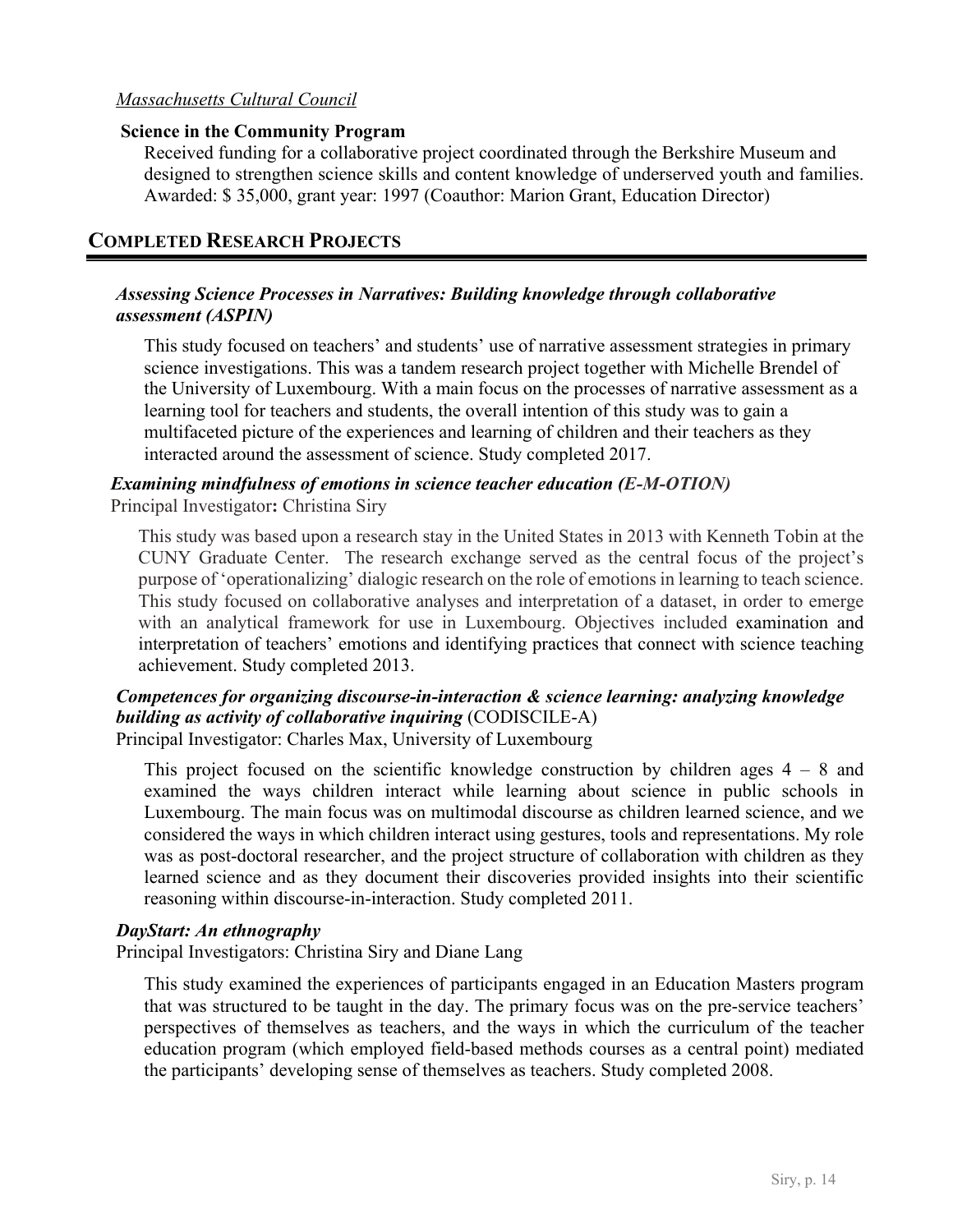## *Massachusetts Cultural Council*

#### **Science in the Community Program**

Received funding for a collaborative project coordinated through the Berkshire Museum and designed to strengthen science skills and content knowledge of underserved youth and families. Awarded: \$ 35,000, grant year: 1997 (Coauthor: Marion Grant, Education Director)

## **COMPLETED RESEARCH PROJECTS**

#### *Assessing Science Processes in Narratives: Building knowledge through collaborative assessment (ASPIN)*

This study focused on teachers' and students' use of narrative assessment strategies in primary science investigations. This was a tandem research project together with Michelle Brendel of the University of Luxembourg. With a main focus on the processes of narrative assessment as a learning tool for teachers and students, the overall intention of this study was to gain a multifaceted picture of the experiences and learning of children and their teachers as they interacted around the assessment of science. Study completed 2017.

## *Examining mindfulness of emotions in science teacher education (E-M-OTION)* Principal Investigator**:** Christina Siry

This study was based upon a research stay in the United States in 2013 with Kenneth Tobin at the CUNY Graduate Center. The research exchange served as the central focus of the project's purpose of 'operationalizing' dialogic research on the role of emotions in learning to teach science. This study focused on collaborative analyses and interpretation of a dataset, in order to emerge with an analytical framework for use in Luxembourg. Objectives included examination and interpretation of teachers' emotions and identifying practices that connect with science teaching achievement. Study completed 2013.

# *Competences for organizing discourse-in-interaction & science learning: analyzing knowledge building as activity of collaborative inquiring* (CODISCILE-A)

Principal Investigator: Charles Max, University of Luxembourg

This project focused on the scientific knowledge construction by children ages  $4 - 8$  and examined the ways children interact while learning about science in public schools in Luxembourg. The main focus was on multimodal discourse as children learned science, and we considered the ways in which children interact using gestures, tools and representations. My role was as post-doctoral researcher, and the project structure of collaboration with children as they learned science and as they document their discoveries provided insights into their scientific reasoning within discourse-in-interaction. Study completed 2011.

#### *DayStart: An ethnography*

Principal Investigators: Christina Siry and Diane Lang

This study examined the experiences of participants engaged in an Education Masters program that was structured to be taught in the day. The primary focus was on the pre-service teachers' perspectives of themselves as teachers, and the ways in which the curriculum of the teacher education program (which employed field-based methods courses as a central point) mediated the participants' developing sense of themselves as teachers. Study completed 2008.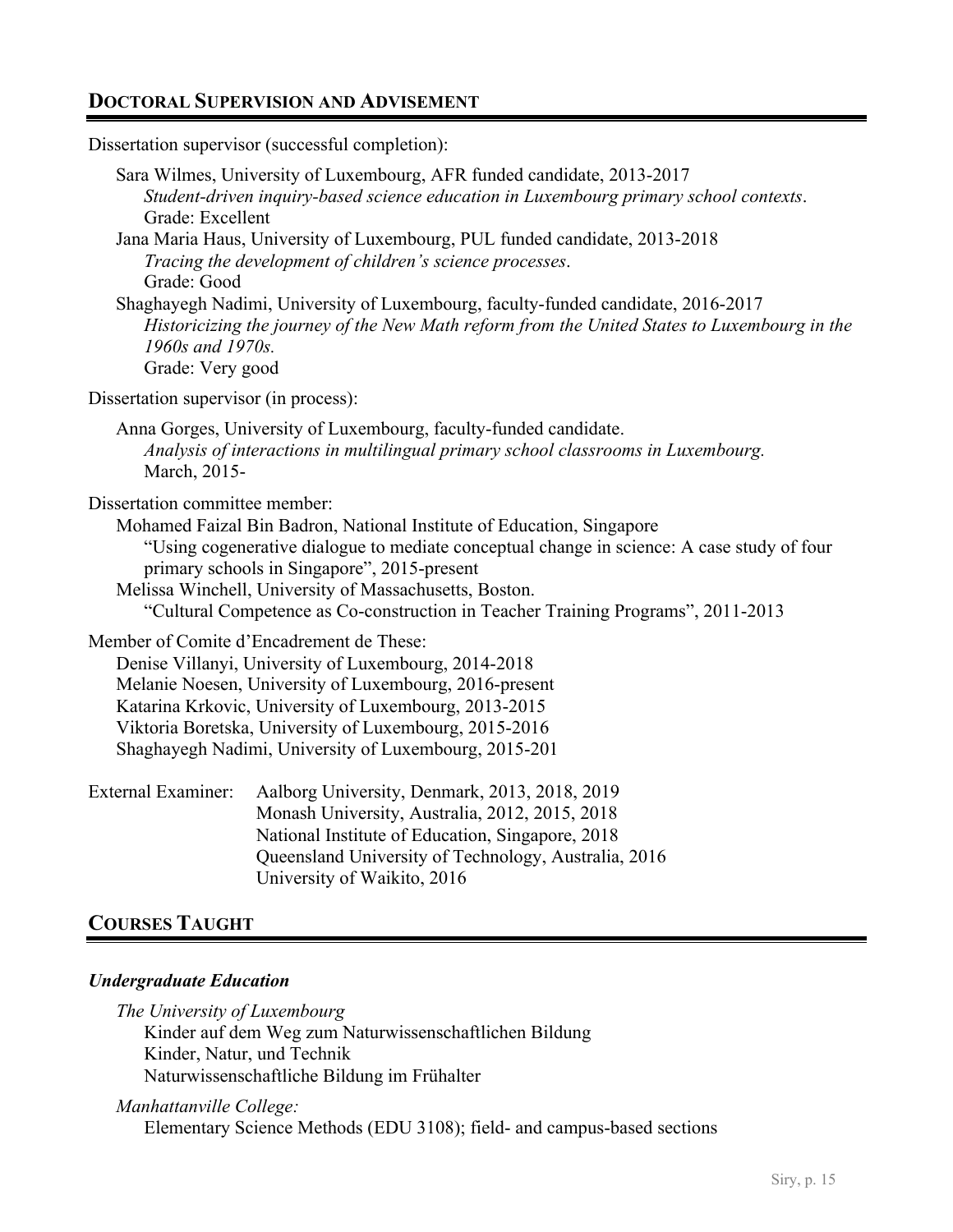# **DOCTORAL SUPERVISION AND ADVISEMENT**

Dissertation supervisor (successful completion):

| Grade: Excellent<br>Grade: Good<br>1960s and 1970s.<br>Grade: Very good | Sara Wilmes, University of Luxembourg, AFR funded candidate, 2013-2017<br>Student-driven inquiry-based science education in Luxembourg primary school contexts.<br>Jana Maria Haus, University of Luxembourg, PUL funded candidate, 2013-2018<br>Tracing the development of children's science processes.<br>Shaghayegh Nadimi, University of Luxembourg, faculty-funded candidate, 2016-2017<br>Historicizing the journey of the New Math reform from the United States to Luxembourg in the |
|-------------------------------------------------------------------------|-----------------------------------------------------------------------------------------------------------------------------------------------------------------------------------------------------------------------------------------------------------------------------------------------------------------------------------------------------------------------------------------------------------------------------------------------------------------------------------------------|
| Dissertation supervisor (in process):                                   |                                                                                                                                                                                                                                                                                                                                                                                                                                                                                               |
| March, 2015-                                                            | Anna Gorges, University of Luxembourg, faculty-funded candidate.<br>Analysis of interactions in multilingual primary school classrooms in Luxembourg.                                                                                                                                                                                                                                                                                                                                         |
| Dissertation committee member:                                          | Mohamed Faizal Bin Badron, National Institute of Education, Singapore<br>"Using cogenerative dialogue to mediate conceptual change in science: A case study of four<br>primary schools in Singapore", 2015-present<br>Melissa Winchell, University of Massachusetts, Boston.<br>"Cultural Competence as Co-construction in Teacher Training Programs", 2011-2013                                                                                                                              |
|                                                                         | Member of Comite d'Encadrement de These:<br>Denise Villanyi, University of Luxembourg, 2014-2018<br>Melanie Noesen, University of Luxembourg, 2016-present<br>Katarina Krkovic, University of Luxembourg, 2013-2015<br>Viktoria Boretska, University of Luxembourg, 2015-2016<br>Shaghayegh Nadimi, University of Luxembourg, 2015-201                                                                                                                                                        |
| <b>External Examiner:</b>                                               | Aalborg University, Denmark, 2013, 2018, 2019<br>Monash University, Australia, 2012, 2015, 2018<br>National Institute of Education, Singapore, 2018<br>Queensland University of Technology, Australia, 2016<br>University of Waikito, 2016                                                                                                                                                                                                                                                    |
|                                                                         |                                                                                                                                                                                                                                                                                                                                                                                                                                                                                               |

# **COURSES TAUGHT**

# *Undergraduate Education*

*The University of Luxembourg* Kinder auf dem Weg zum Naturwissenschaftlichen Bildung Kinder, Natur, und Technik Naturwissenschaftliche Bildung im Frühalter

*Manhattanville College:* Elementary Science Methods (EDU 3108); field- and campus-based sections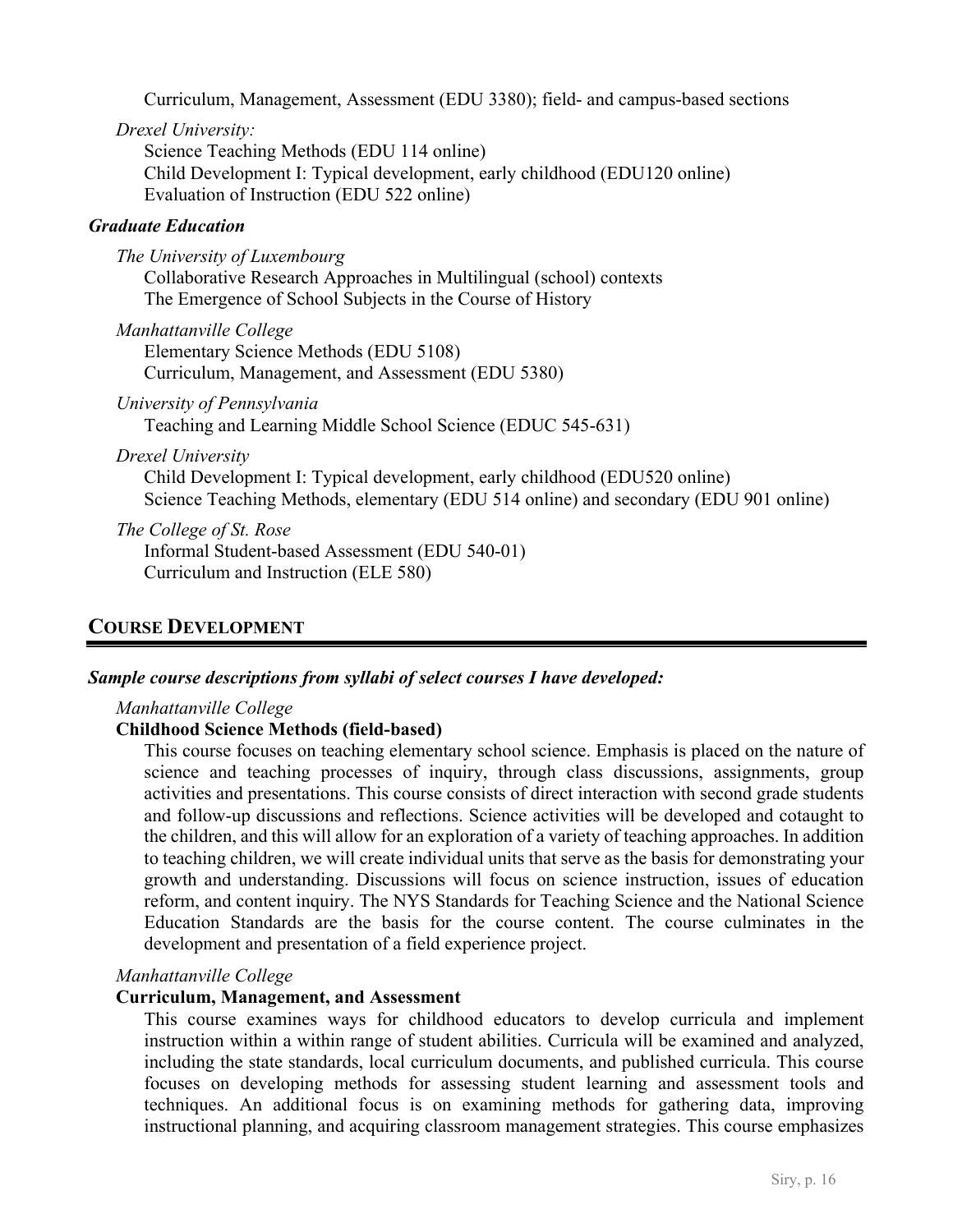Curriculum, Management, Assessment (EDU 3380); field- and campus-based sections

*Drexel University:*

Science Teaching Methods (EDU 114 online) Child Development I: Typical development, early childhood (EDU120 online) Evaluation of Instruction (EDU 522 online)

## *Graduate Education*

*The University of Luxembourg* Collaborative Research Approaches in Multilingual (school) contexts The Emergence of School Subjects in the Course of History

*Manhattanville College* Elementary Science Methods (EDU 5108) Curriculum, Management, and Assessment (EDU 5380)

*University of Pennsylvania*

Teaching and Learning Middle School Science (EDUC 545-631)

*Drexel University*

Child Development I: Typical development, early childhood (EDU520 online) Science Teaching Methods, elementary (EDU 514 online) and secondary (EDU 901 online)

*The College of St. Rose*

Informal Student-based Assessment (EDU 540-01) Curriculum and Instruction (ELE 580)

# **COURSE DEVELOPMENT**

#### *Sample course descriptions from syllabi of select courses I have developed:*

*Manhattanville College*

## **Childhood Science Methods (field-based)**

This course focuses on teaching elementary school science. Emphasis is placed on the nature of science and teaching processes of inquiry, through class discussions, assignments, group activities and presentations. This course consists of direct interaction with second grade students and follow-up discussions and reflections. Science activities will be developed and cotaught to the children, and this will allow for an exploration of a variety of teaching approaches. In addition to teaching children, we will create individual units that serve as the basis for demonstrating your growth and understanding. Discussions will focus on science instruction, issues of education reform, and content inquiry. The NYS Standards for Teaching Science and the National Science Education Standards are the basis for the course content. The course culminates in the development and presentation of a field experience project.

#### *Manhattanville College*

#### **Curriculum, Management, and Assessment**

This course examines ways for childhood educators to develop curricula and implement instruction within a within range of student abilities. Curricula will be examined and analyzed, including the state standards, local curriculum documents, and published curricula. This course focuses on developing methods for assessing student learning and assessment tools and techniques. An additional focus is on examining methods for gathering data, improving instructional planning, and acquiring classroom management strategies. This course emphasizes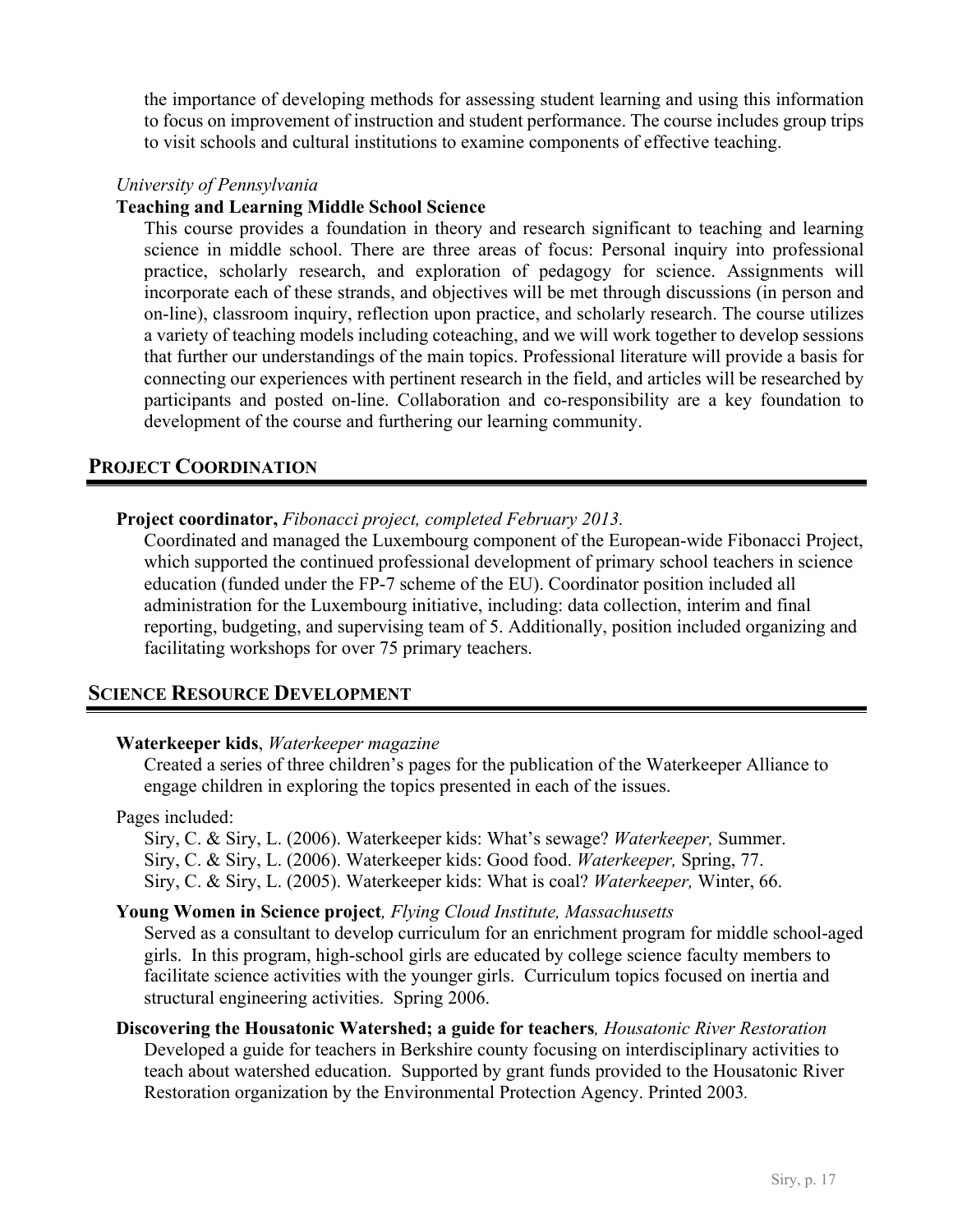the importance of developing methods for assessing student learning and using this information to focus on improvement of instruction and student performance. The course includes group trips to visit schools and cultural institutions to examine components of effective teaching.

#### *University of Pennsylvania*

#### **Teaching and Learning Middle School Science**

This course provides a foundation in theory and research significant to teaching and learning science in middle school. There are three areas of focus: Personal inquiry into professional practice, scholarly research, and exploration of pedagogy for science. Assignments will incorporate each of these strands, and objectives will be met through discussions (in person and on-line), classroom inquiry, reflection upon practice, and scholarly research. The course utilizes a variety of teaching models including coteaching, and we will work together to develop sessions that further our understandings of the main topics. Professional literature will provide a basis for connecting our experiences with pertinent research in the field, and articles will be researched by participants and posted on-line. Collaboration and co-responsibility are a key foundation to development of the course and furthering our learning community.

# **PROJECT COORDINATION**

#### **Project coordinator,** *Fibonacci project, completed February 2013.*

Coordinated and managed the Luxembourg component of the European-wide Fibonacci Project, which supported the continued professional development of primary school teachers in science education (funded under the FP-7 scheme of the EU). Coordinator position included all administration for the Luxembourg initiative, including: data collection, interim and final reporting, budgeting, and supervising team of 5. Additionally, position included organizing and facilitating workshops for over 75 primary teachers.

## **SCIENCE RESOURCE DEVELOPMENT**

#### **Waterkeeper kids**, *Waterkeeper magazine*

Created a series of three children's pages for the publication of the Waterkeeper Alliance to engage children in exploring the topics presented in each of the issues.

#### Pages included:

Siry, C. & Siry, L. (2006). Waterkeeper kids: What's sewage? *Waterkeeper,* Summer. Siry, C. & Siry, L. (2006). Waterkeeper kids: Good food. *Waterkeeper,* Spring, 77. Siry, C. & Siry, L. (2005). Waterkeeper kids: What is coal? *Waterkeeper,* Winter, 66.

#### **Young Women in Science project***, Flying Cloud Institute, Massachusetts*

Served as a consultant to develop curriculum for an enrichment program for middle school-aged girls. In this program, high-school girls are educated by college science faculty members to facilitate science activities with the younger girls. Curriculum topics focused on inertia and structural engineering activities. Spring 2006.

## **Discovering the Housatonic Watershed; a guide for teachers***, Housatonic River Restoration* Developed a guide for teachers in Berkshire county focusing on interdisciplinary activities to teach about watershed education. Supported by grant funds provided to the Housatonic River Restoration organization by the Environmental Protection Agency. Printed 2003*.*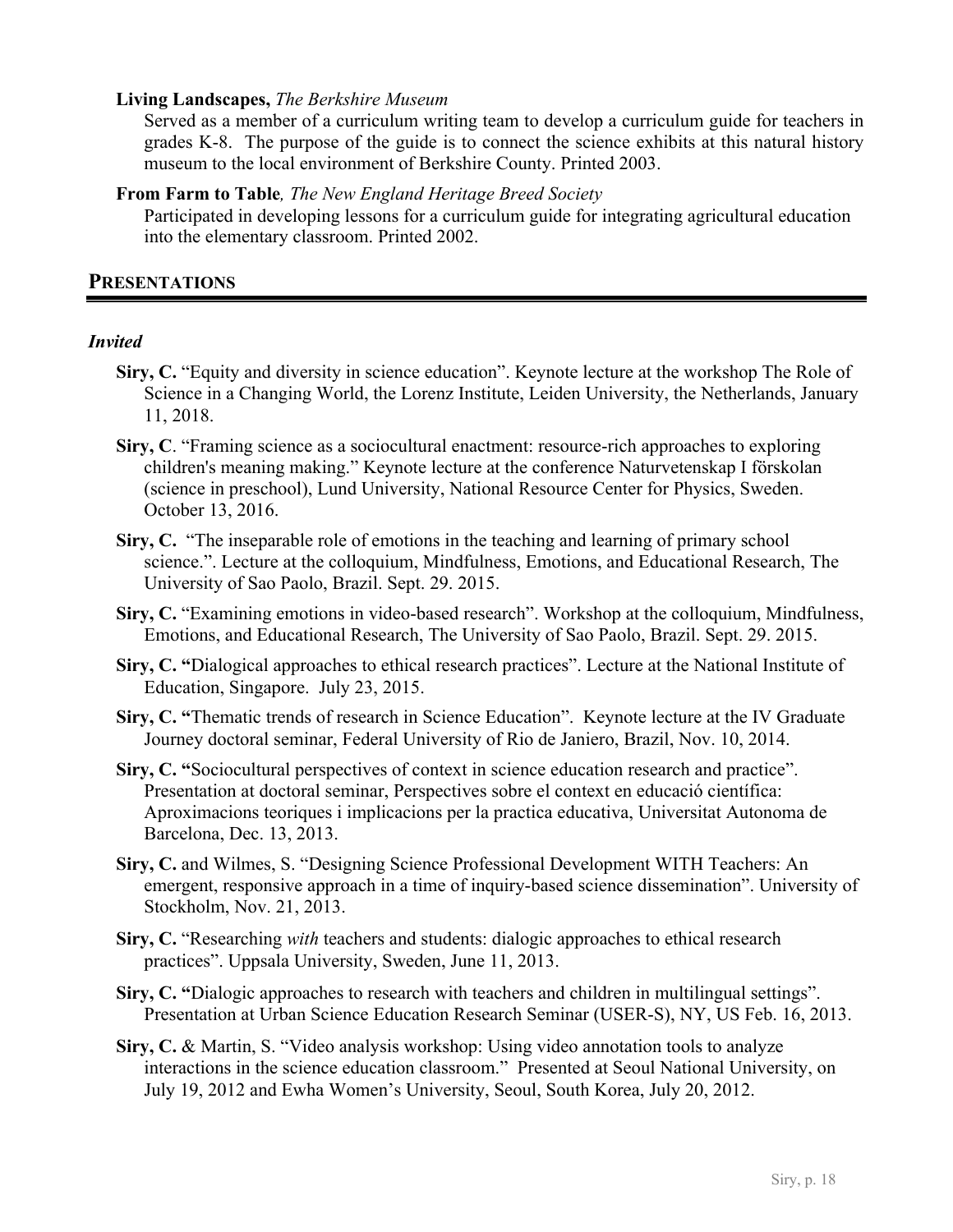#### **Living Landscapes,** *The Berkshire Museum*

Served as a member of a curriculum writing team to develop a curriculum guide for teachers in grades K-8. The purpose of the guide is to connect the science exhibits at this natural history museum to the local environment of Berkshire County. Printed 2003.

#### **From Farm to Table***, The New England Heritage Breed Society*

Participated in developing lessons for a curriculum guide for integrating agricultural education into the elementary classroom. Printed 2002.

#### **PRESENTATIONS**

#### *Invited*

- **Siry, C.** "Equity and diversity in science education". Keynote lecture at the workshop The Role of Science in a Changing World, the Lorenz Institute, Leiden University, the Netherlands, January 11, 2018.
- **Siry, C**. "Framing science as a sociocultural enactment: resource-rich approaches to exploring children's meaning making." Keynote lecture at the conference Naturvetenskap I förskolan (science in preschool), Lund University, National Resource Center for Physics, Sweden. October 13, 2016.
- **Siry, C.** "The inseparable role of emotions in the teaching and learning of primary school science.". Lecture at the colloquium, Mindfulness, Emotions, and Educational Research, The University of Sao Paolo, Brazil. Sept. 29. 2015.
- **Siry, C.** "Examining emotions in video-based research". Workshop at the colloquium, Mindfulness, Emotions, and Educational Research, The University of Sao Paolo, Brazil. Sept. 29. 2015.
- **Siry, C. "**Dialogical approaches to ethical research practices". Lecture at the National Institute of Education, Singapore. July 23, 2015.
- **Siry, C. "**Thematic trends of research in Science Education". Keynote lecture at the IV Graduate Journey doctoral seminar, Federal University of Rio de Janiero, Brazil, Nov. 10, 2014.
- **Siry, C. "**Sociocultural perspectives of context in science education research and practice". Presentation at doctoral seminar, Perspectives sobre el context en educació científica: Aproximacions teoriques i implicacions per la practica educativa, Universitat Autonoma de Barcelona, Dec. 13, 2013.
- **Siry, C.** and Wilmes, S. "Designing Science Professional Development WITH Teachers: An emergent, responsive approach in a time of inquiry-based science dissemination". University of Stockholm, Nov. 21, 2013.
- **Siry, C.** "Researching *with* teachers and students: dialogic approaches to ethical research practices". Uppsala University, Sweden, June 11, 2013.
- **Siry, C. "**Dialogic approaches to research with teachers and children in multilingual settings". Presentation at Urban Science Education Research Seminar (USER-S), NY, US Feb. 16, 2013.
- **Siry, C.** & Martin, S. "Video analysis workshop: Using video annotation tools to analyze interactions in the science education classroom." Presented at Seoul National University, on July 19, 2012 and Ewha Women's University, Seoul, South Korea, July 20, 2012.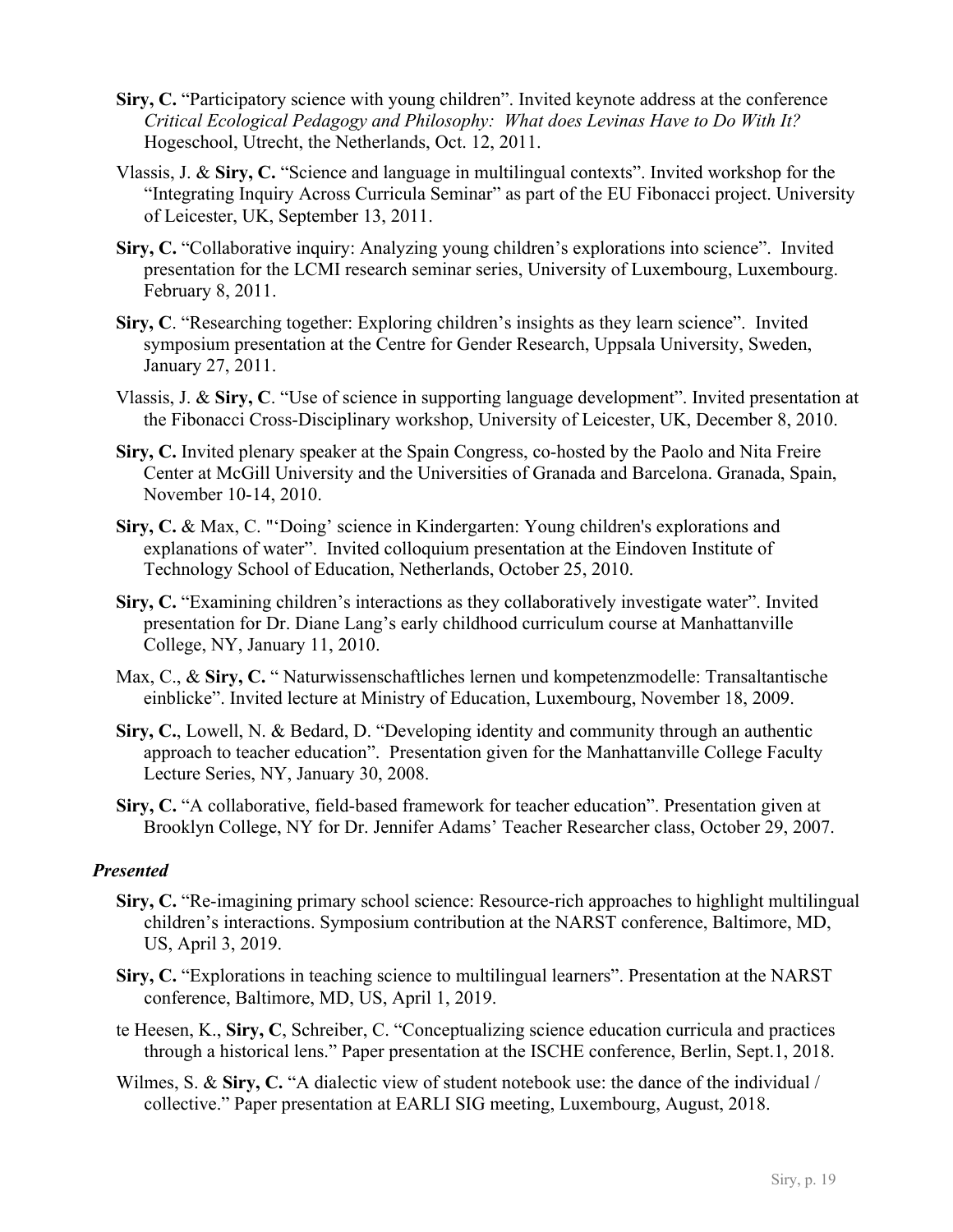- **Siry, C.** "Participatory science with young children". Invited keynote address at the conference *Critical Ecological Pedagogy and Philosophy: What does Levinas Have to Do With It?*  Hogeschool, Utrecht, the Netherlands, Oct. 12, 2011.
- Vlassis, J. & **Siry, C.** "Science and language in multilingual contexts". Invited workshop for the "Integrating Inquiry Across Curricula Seminar" as part of the EU Fibonacci project. University of Leicester, UK, September 13, 2011.
- **Siry, C.** "Collaborative inquiry: Analyzing young children's explorations into science". Invited presentation for the LCMI research seminar series, University of Luxembourg, Luxembourg. February 8, 2011.
- **Siry, C**. "Researching together: Exploring children's insights as they learn science". Invited symposium presentation at the Centre for Gender Research, Uppsala University, Sweden, January 27, 2011.
- Vlassis, J. & **Siry, C**. "Use of science in supporting language development". Invited presentation at the Fibonacci Cross-Disciplinary workshop, University of Leicester, UK, December 8, 2010.
- **Siry, C.** Invited plenary speaker at the Spain Congress, co-hosted by the Paolo and Nita Freire Center at McGill University and the Universities of Granada and Barcelona. Granada, Spain, November 10-14, 2010.
- **Siry, C.** & Max, C. "'Doing' science in Kindergarten: Young children's explorations and explanations of water". Invited colloquium presentation at the Eindoven Institute of Technology School of Education, Netherlands, October 25, 2010.
- **Siry, C.** "Examining children's interactions as they collaboratively investigate water". Invited presentation for Dr. Diane Lang's early childhood curriculum course at Manhattanville College, NY, January 11, 2010.
- Max, C., & **Siry, C.** " Naturwissenschaftliches lernen und kompetenzmodelle: Transaltantische einblicke". Invited lecture at Ministry of Education, Luxembourg, November 18, 2009.
- **Siry, C.**, Lowell, N. & Bedard, D. "Developing identity and community through an authentic approach to teacher education". Presentation given for the Manhattanville College Faculty Lecture Series, NY, January 30, 2008.
- **Siry, C.** "A collaborative, field-based framework for teacher education". Presentation given at Brooklyn College, NY for Dr. Jennifer Adams' Teacher Researcher class, October 29, 2007.

#### *Presented*

- **Siry, C.** "Re-imagining primary school science: Resource-rich approaches to highlight multilingual children's interactions. Symposium contribution at the NARST conference, Baltimore, MD, US, April 3, 2019.
- **Siry, C.** "Explorations in teaching science to multilingual learners". Presentation at the NARST conference, Baltimore, MD, US, April 1, 2019.
- te Heesen, K., **Siry, C**, Schreiber, C. "Conceptualizing science education curricula and practices through a historical lens." Paper presentation at the ISCHE conference, Berlin, Sept.1, 2018.
- Wilmes, S. & **Siry, C.** "A dialectic view of student notebook use: the dance of the individual / collective." Paper presentation at EARLI SIG meeting, Luxembourg, August, 2018.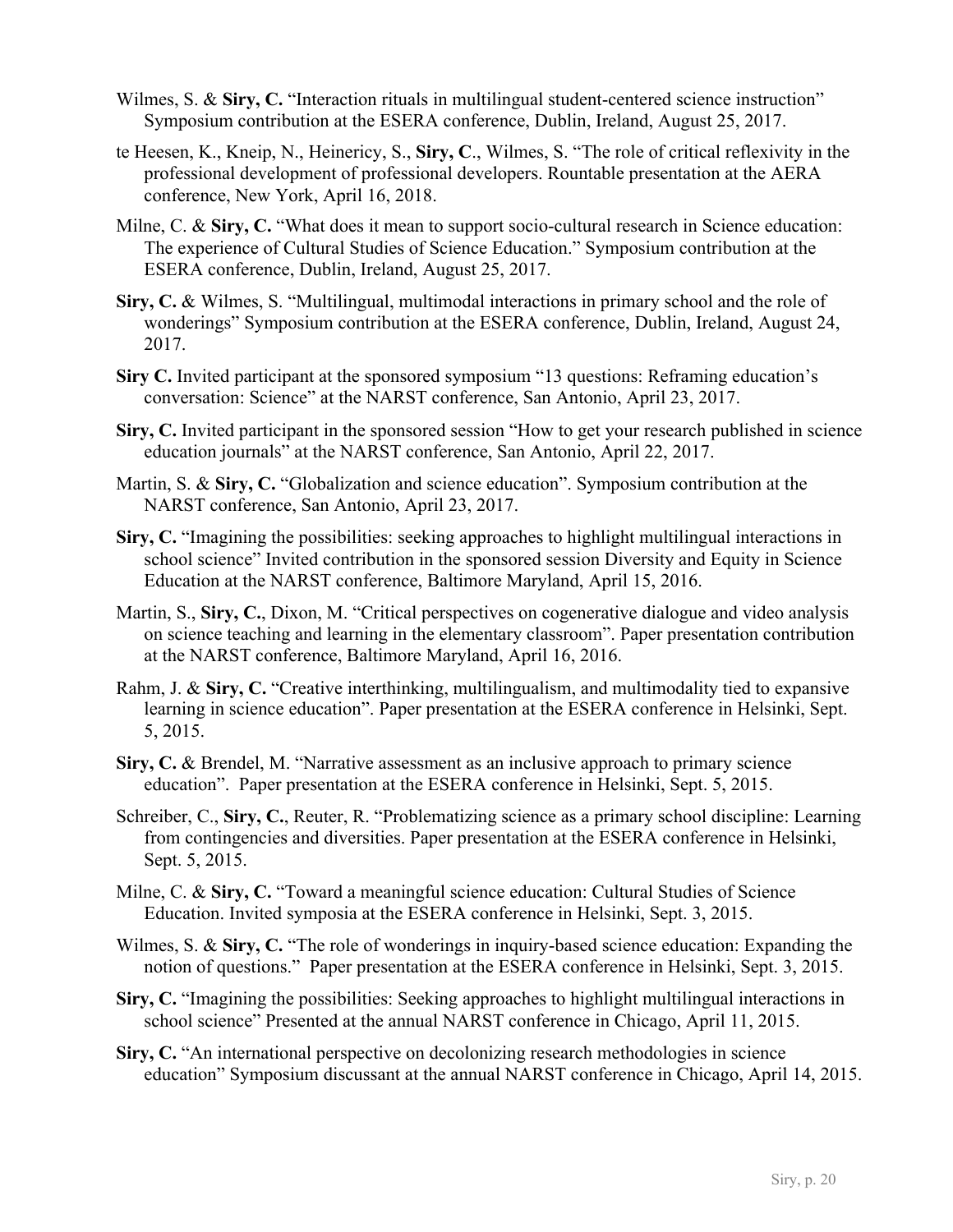- Wilmes, S. & Siry, C. "Interaction rituals in multilingual student-centered science instruction" Symposium contribution at the ESERA conference, Dublin, Ireland, August 25, 2017.
- te Heesen, K., Kneip, N., Heinericy, S., **Siry, C**., Wilmes, S. "The role of critical reflexivity in the professional development of professional developers. Rountable presentation at the AERA conference, New York, April 16, 2018.
- Milne, C. & Siry, C. "What does it mean to support socio-cultural research in Science education: The experience of Cultural Studies of Science Education." Symposium contribution at the ESERA conference, Dublin, Ireland, August 25, 2017.
- **Siry, C.** & Wilmes, S. "Multilingual, multimodal interactions in primary school and the role of wonderings" Symposium contribution at the ESERA conference, Dublin, Ireland, August 24, 2017.
- **Siry C.** Invited participant at the sponsored symposium "13 questions: Reframing education's conversation: Science" at the NARST conference, San Antonio, April 23, 2017.
- **Siry, C.** Invited participant in the sponsored session "How to get your research published in science education journals" at the NARST conference, San Antonio, April 22, 2017.
- Martin, S. & **Siry, C.** "Globalization and science education". Symposium contribution at the NARST conference, San Antonio, April 23, 2017.
- **Siry, C.** "Imagining the possibilities: seeking approaches to highlight multilingual interactions in school science" Invited contribution in the sponsored session Diversity and Equity in Science Education at the NARST conference, Baltimore Maryland, April 15, 2016.
- Martin, S., **Siry, C.**, Dixon, M. "Critical perspectives on cogenerative dialogue and video analysis on science teaching and learning in the elementary classroom". Paper presentation contribution at the NARST conference, Baltimore Maryland, April 16, 2016.
- Rahm, J. & **Siry, C.** "Creative interthinking, multilingualism, and multimodality tied to expansive learning in science education". Paper presentation at the ESERA conference in Helsinki, Sept. 5, 2015.
- **Siry, C.** & Brendel, M. "Narrative assessment as an inclusive approach to primary science education". Paper presentation at the ESERA conference in Helsinki, Sept. 5, 2015.
- Schreiber, C., **Siry, C.**, Reuter, R. "Problematizing science as a primary school discipline: Learning from contingencies and diversities. Paper presentation at the ESERA conference in Helsinki, Sept. 5, 2015.
- Milne, C. & **Siry, C.** "Toward a meaningful science education: Cultural Studies of Science Education. Invited symposia at the ESERA conference in Helsinki, Sept. 3, 2015.
- Wilmes, S. & **Siry, C.** "The role of wonderings in inquiry-based science education: Expanding the notion of questions." Paper presentation at the ESERA conference in Helsinki, Sept. 3, 2015.
- **Siry, C.** "Imagining the possibilities: Seeking approaches to highlight multilingual interactions in school science" Presented at the annual NARST conference in Chicago, April 11, 2015.
- **Siry, C.** "An international perspective on decolonizing research methodologies in science education" Symposium discussant at the annual NARST conference in Chicago, April 14, 2015.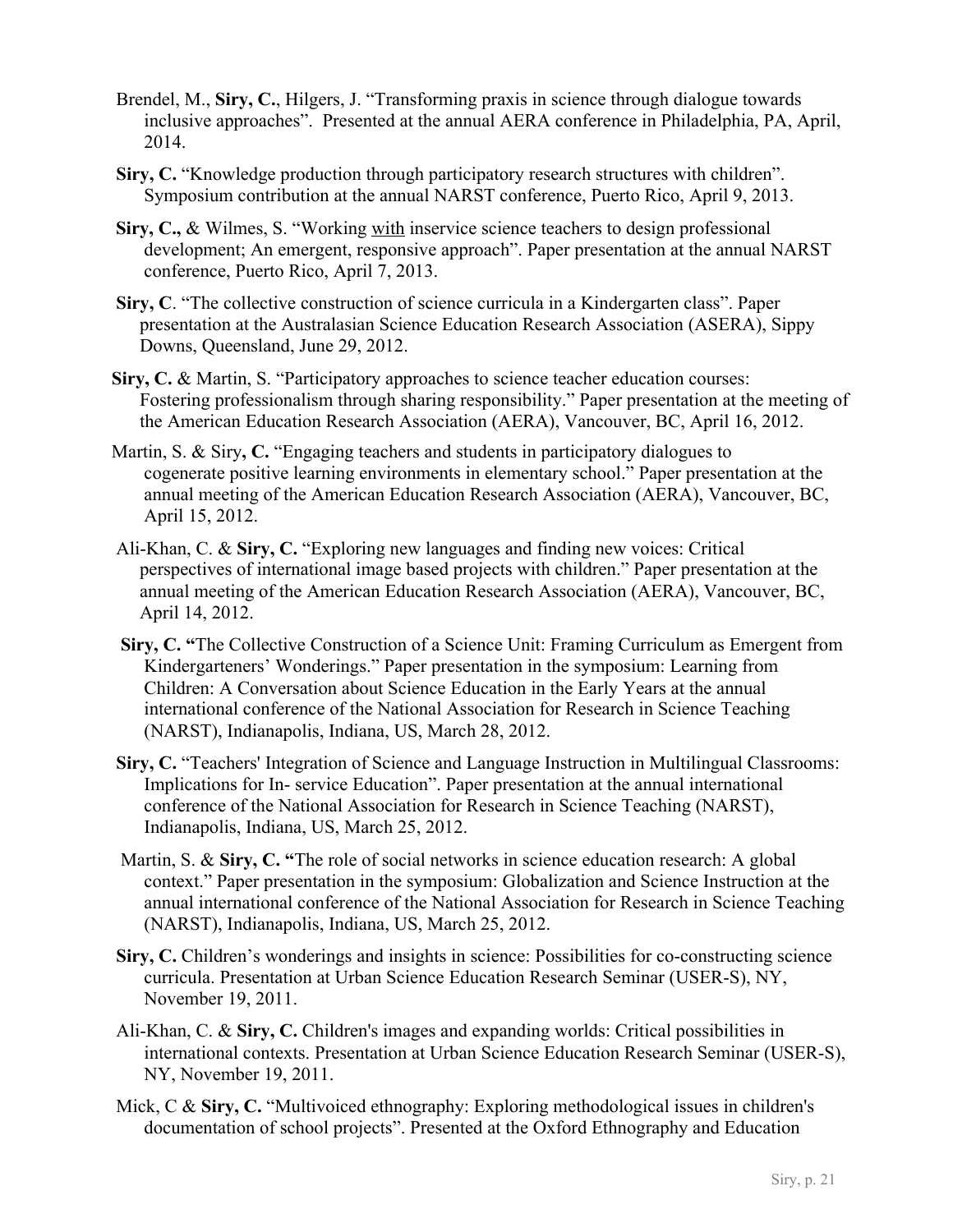- Brendel, M., **Siry, C.**, Hilgers, J. "Transforming praxis in science through dialogue towards inclusive approaches". Presented at the annual AERA conference in Philadelphia, PA, April, 2014.
- **Siry, C.** "Knowledge production through participatory research structures with children". Symposium contribution at the annual NARST conference, Puerto Rico, April 9, 2013.
- **Siry, C.,** & Wilmes, S. "Working with inservice science teachers to design professional development; An emergent, responsive approach". Paper presentation at the annual NARST conference, Puerto Rico, April 7, 2013.
- **Siry, C**. "The collective construction of science curricula in a Kindergarten class". Paper presentation at the Australasian Science Education Research Association (ASERA), Sippy Downs, Queensland, June 29, 2012.
- **Siry, C.** & Martin, S. "Participatory approaches to science teacher education courses: Fostering professionalism through sharing responsibility." Paper presentation at the meeting of the American Education Research Association (AERA), Vancouver, BC, April 16, 2012.
- Martin, S. & Siry**, C.** "Engaging teachers and students in participatory dialogues to cogenerate positive learning environments in elementary school." Paper presentation at the annual meeting of the American Education Research Association (AERA), Vancouver, BC, April 15, 2012.
- Ali-Khan, C. & **Siry, C.** "Exploring new languages and finding new voices: Critical perspectives of international image based projects with children." Paper presentation at the annual meeting of the American Education Research Association (AERA), Vancouver, BC, April 14, 2012.
- **Siry, C. "**The Collective Construction of a Science Unit: Framing Curriculum as Emergent from Kindergarteners' Wonderings." Paper presentation in the symposium: Learning from Children: A Conversation about Science Education in the Early Years at the annual international conference of the National Association for Research in Science Teaching (NARST), Indianapolis, Indiana, US, March 28, 2012.
- **Siry, C.** "Teachers' Integration of Science and Language Instruction in Multilingual Classrooms: Implications for In- service Education". Paper presentation at the annual international conference of the National Association for Research in Science Teaching (NARST), Indianapolis, Indiana, US, March 25, 2012.
- Martin, S. & **Siry, C. "**The role of social networks in science education research: A global context." Paper presentation in the symposium: Globalization and Science Instruction at the annual international conference of the National Association for Research in Science Teaching (NARST), Indianapolis, Indiana, US, March 25, 2012.
- **Siry, C.** Children's wonderings and insights in science: Possibilities for co-constructing science curricula. Presentation at Urban Science Education Research Seminar (USER-S), NY, November 19, 2011.
- Ali-Khan, C. & **Siry, C.** Children's images and expanding worlds: Critical possibilities in international contexts. Presentation at Urban Science Education Research Seminar (USER-S), NY, November 19, 2011.
- Mick, C & **Siry, C.** "Multivoiced ethnography: Exploring methodological issues in children's documentation of school projects". Presented at the Oxford Ethnography and Education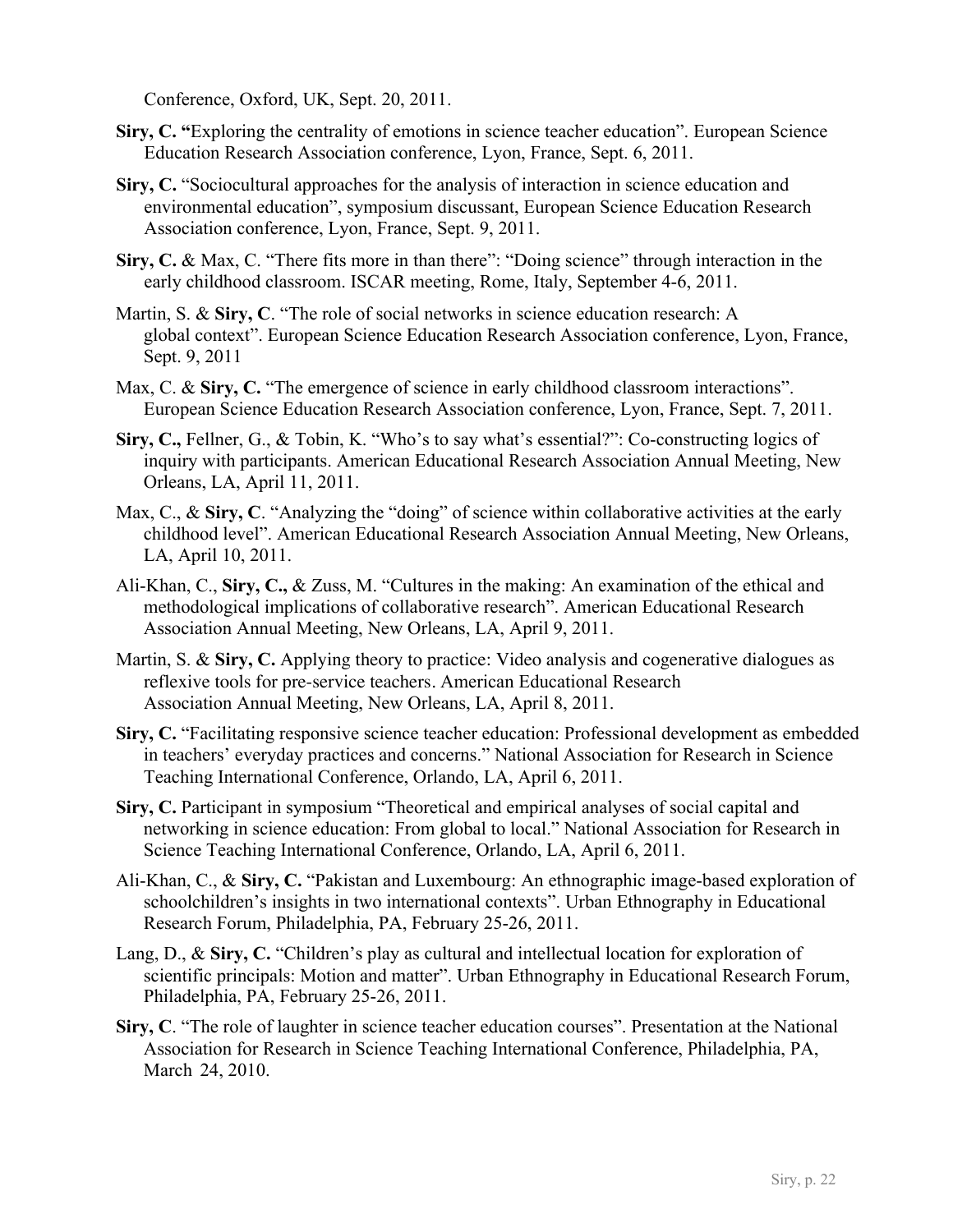Conference, Oxford, UK, Sept. 20, 2011.

- **Siry, C. "**Exploring the centrality of emotions in science teacher education". European Science Education Research Association conference, Lyon, France, Sept. 6, 2011.
- **Siry, C.** "Sociocultural approaches for the analysis of interaction in science education and environmental education", symposium discussant, European Science Education Research Association conference, Lyon, France, Sept. 9, 2011.
- **Siry, C.** & Max, C. "There fits more in than there": "Doing science" through interaction in the early childhood classroom. ISCAR meeting, Rome, Italy, September 4-6, 2011.
- Martin, S. & **Siry, C**. "The role of social networks in science education research: A global context". European Science Education Research Association conference, Lyon, France, Sept. 9, 2011
- Max, C. & Sirv, C. "The emergence of science in early childhood classroom interactions". European Science Education Research Association conference, Lyon, France, Sept. 7, 2011.
- **Siry, C.,** Fellner, G., & Tobin, K. "Who's to say what's essential?": Co-constructing logics of inquiry with participants. American Educational Research Association Annual Meeting, New Orleans, LA, April 11, 2011.
- Max, C., & Siry, C. "Analyzing the "doing" of science within collaborative activities at the early childhood level". American Educational Research Association Annual Meeting, New Orleans, LA, April 10, 2011.
- Ali-Khan, C., **Siry, C.,** & Zuss, M. "Cultures in the making: An examination of the ethical and methodological implications of collaborative research". American Educational Research Association Annual Meeting, New Orleans, LA, April 9, 2011.
- Martin, S. & **Siry, C.** Applying theory to practice: Video analysis and cogenerative dialogues as reflexive tools for pre-service teachers. American Educational Research Association Annual Meeting, New Orleans, LA, April 8, 2011.
- **Siry, C.** "Facilitating responsive science teacher education: Professional development as embedded in teachers' everyday practices and concerns." National Association for Research in Science Teaching International Conference, Orlando, LA, April 6, 2011.
- **Siry, C.** Participant in symposium "Theoretical and empirical analyses of social capital and networking in science education: From global to local." National Association for Research in Science Teaching International Conference, Orlando, LA, April 6, 2011.
- Ali-Khan, C., & **Siry, C.** "Pakistan and Luxembourg: An ethnographic image-based exploration of schoolchildren's insights in two international contexts". Urban Ethnography in Educational Research Forum, Philadelphia, PA, February 25-26, 2011.
- Lang, D., & **Siry, C.** "Children's play as cultural and intellectual location for exploration of scientific principals: Motion and matter". Urban Ethnography in Educational Research Forum, Philadelphia, PA, February 25-26, 2011.
- **Siry, C**. "The role of laughter in science teacher education courses". Presentation at the National Association for Research in Science Teaching International Conference, Philadelphia, PA, March 24, 2010.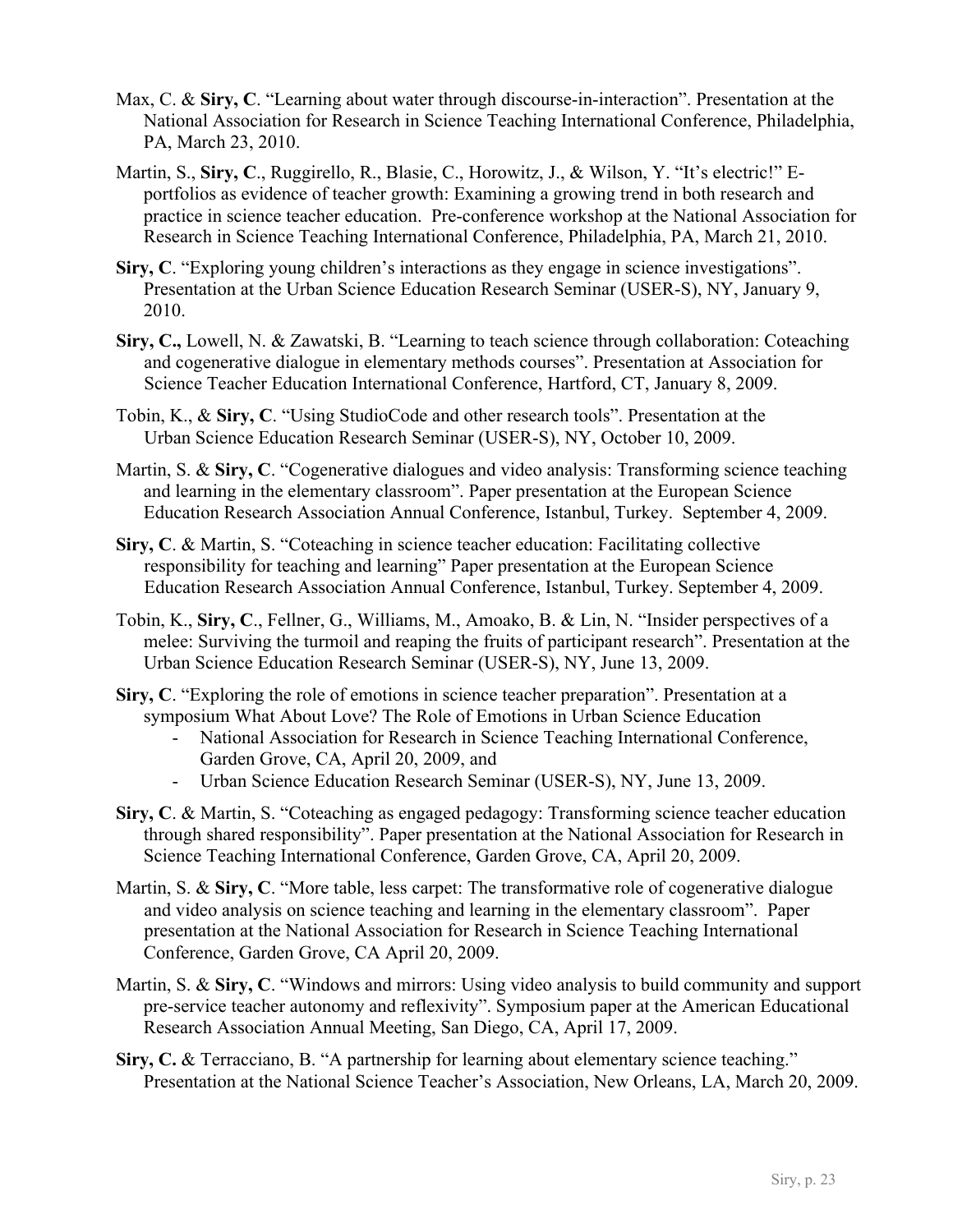- Max, C. & **Siry, C**. "Learning about water through discourse-in-interaction". Presentation at the National Association for Research in Science Teaching International Conference, Philadelphia, PA, March 23, 2010.
- Martin, S., **Siry, C**., Ruggirello, R., Blasie, C., Horowitz, J., & Wilson, Y. "It's electric!" Eportfolios as evidence of teacher growth: Examining a growing trend in both research and practice in science teacher education. Pre-conference workshop at the National Association for Research in Science Teaching International Conference, Philadelphia, PA, March 21, 2010.
- **Siry, C**. "Exploring young children's interactions as they engage in science investigations". Presentation at the Urban Science Education Research Seminar (USER-S), NY, January 9, 2010.
- **Siry, C.,** Lowell, N. & Zawatski, B. "Learning to teach science through collaboration: Coteaching and cogenerative dialogue in elementary methods courses". Presentation at Association for Science Teacher Education International Conference, Hartford, CT, January 8, 2009.
- Tobin, K., & **Siry, C**. "Using StudioCode and other research tools". Presentation at the Urban Science Education Research Seminar (USER-S), NY, October 10, 2009.
- Martin, S. & **Siry, C**. "Cogenerative dialogues and video analysis: Transforming science teaching and learning in the elementary classroom". Paper presentation at the European Science Education Research Association Annual Conference, Istanbul, Turkey. September 4, 2009.
- **Siry, C**. & Martin, S. "Coteaching in science teacher education: Facilitating collective responsibility for teaching and learning" Paper presentation at the European Science Education Research Association Annual Conference, Istanbul, Turkey. September 4, 2009.
- Tobin, K., **Siry, C**., Fellner, G., Williams, M., Amoako, B. & Lin, N. "Insider perspectives of a melee: Surviving the turmoil and reaping the fruits of participant research". Presentation at the Urban Science Education Research Seminar (USER-S), NY, June 13, 2009.
- **Siry, C**. "Exploring the role of emotions in science teacher preparation". Presentation at a symposium What About Love? The Role of Emotions in Urban Science Education
	- National Association for Research in Science Teaching International Conference, Garden Grove, CA, April 20, 2009, and
	- Urban Science Education Research Seminar (USER-S), NY, June 13, 2009.
- **Siry, C**. & Martin, S. "Coteaching as engaged pedagogy: Transforming science teacher education through shared responsibility". Paper presentation at the National Association for Research in Science Teaching International Conference, Garden Grove, CA, April 20, 2009.
- Martin, S. & **Siry, C**. "More table, less carpet: The transformative role of cogenerative dialogue and video analysis on science teaching and learning in the elementary classroom". Paper presentation at the National Association for Research in Science Teaching International Conference, Garden Grove, CA April 20, 2009.
- Martin, S. & **Siry, C**. "Windows and mirrors: Using video analysis to build community and support pre-service teacher autonomy and reflexivity". Symposium paper at the American Educational Research Association Annual Meeting, San Diego, CA, April 17, 2009.
- **Siry, C.** & Terracciano, B. "A partnership for learning about elementary science teaching." Presentation at the National Science Teacher's Association, New Orleans, LA, March 20, 2009.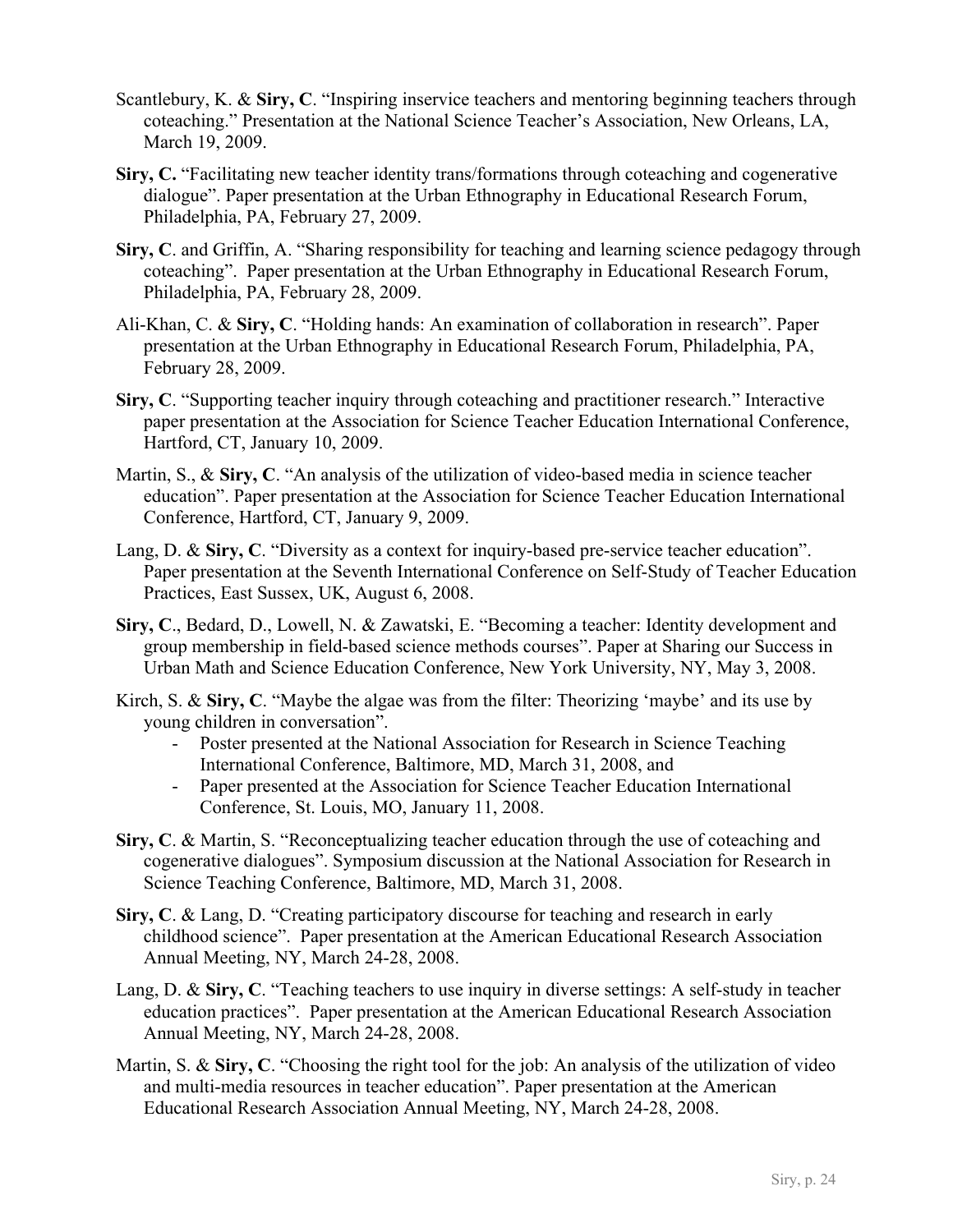- Scantlebury, K. & **Siry, C**. "Inspiring inservice teachers and mentoring beginning teachers through coteaching." Presentation at the National Science Teacher's Association, New Orleans, LA, March 19, 2009.
- **Siry, C.** "Facilitating new teacher identity trans/formations through coteaching and cogenerative dialogue". Paper presentation at the Urban Ethnography in Educational Research Forum, Philadelphia, PA, February 27, 2009.
- **Siry, C**. and Griffin, A. "Sharing responsibility for teaching and learning science pedagogy through coteaching". Paper presentation at the Urban Ethnography in Educational Research Forum, Philadelphia, PA, February 28, 2009.
- Ali-Khan, C. & **Siry, C**. "Holding hands: An examination of collaboration in research". Paper presentation at the Urban Ethnography in Educational Research Forum, Philadelphia, PA, February 28, 2009.
- **Siry, C**. "Supporting teacher inquiry through coteaching and practitioner research." Interactive paper presentation at the Association for Science Teacher Education International Conference, Hartford, CT, January 10, 2009.
- Martin, S., & **Siry, C**. "An analysis of the utilization of video-based media in science teacher education". Paper presentation at the Association for Science Teacher Education International Conference, Hartford, CT, January 9, 2009.
- Lang, D. & **Siry, C**. "Diversity as a context for inquiry-based pre-service teacher education". Paper presentation at the Seventh International Conference on Self-Study of Teacher Education Practices, East Sussex, UK, August 6, 2008.
- **Siry, C**., Bedard, D., Lowell, N. & Zawatski, E. "Becoming a teacher: Identity development and group membership in field-based science methods courses". Paper at Sharing our Success in Urban Math and Science Education Conference, New York University, NY, May 3, 2008.
- Kirch, S. & **Siry, C**. "Maybe the algae was from the filter: Theorizing 'maybe' and its use by young children in conversation".
	- Poster presented at the National Association for Research in Science Teaching International Conference, Baltimore, MD, March 31, 2008, and
	- Paper presented at the Association for Science Teacher Education International Conference, St. Louis, MO, January 11, 2008.
- **Siry, C**. & Martin, S. "Reconceptualizing teacher education through the use of coteaching and cogenerative dialogues". Symposium discussion at the National Association for Research in Science Teaching Conference, Baltimore, MD, March 31, 2008.
- **Siry, C**. & Lang, D. "Creating participatory discourse for teaching and research in early childhood science". Paper presentation at the American Educational Research Association Annual Meeting, NY, March 24-28, 2008.
- Lang, D. & **Siry, C**. "Teaching teachers to use inquiry in diverse settings: A self-study in teacher education practices". Paper presentation at the American Educational Research Association Annual Meeting, NY, March 24-28, 2008.
- Martin, S. & **Siry, C**. "Choosing the right tool for the job: An analysis of the utilization of video and multi-media resources in teacher education". Paper presentation at the American Educational Research Association Annual Meeting, NY, March 24-28, 2008.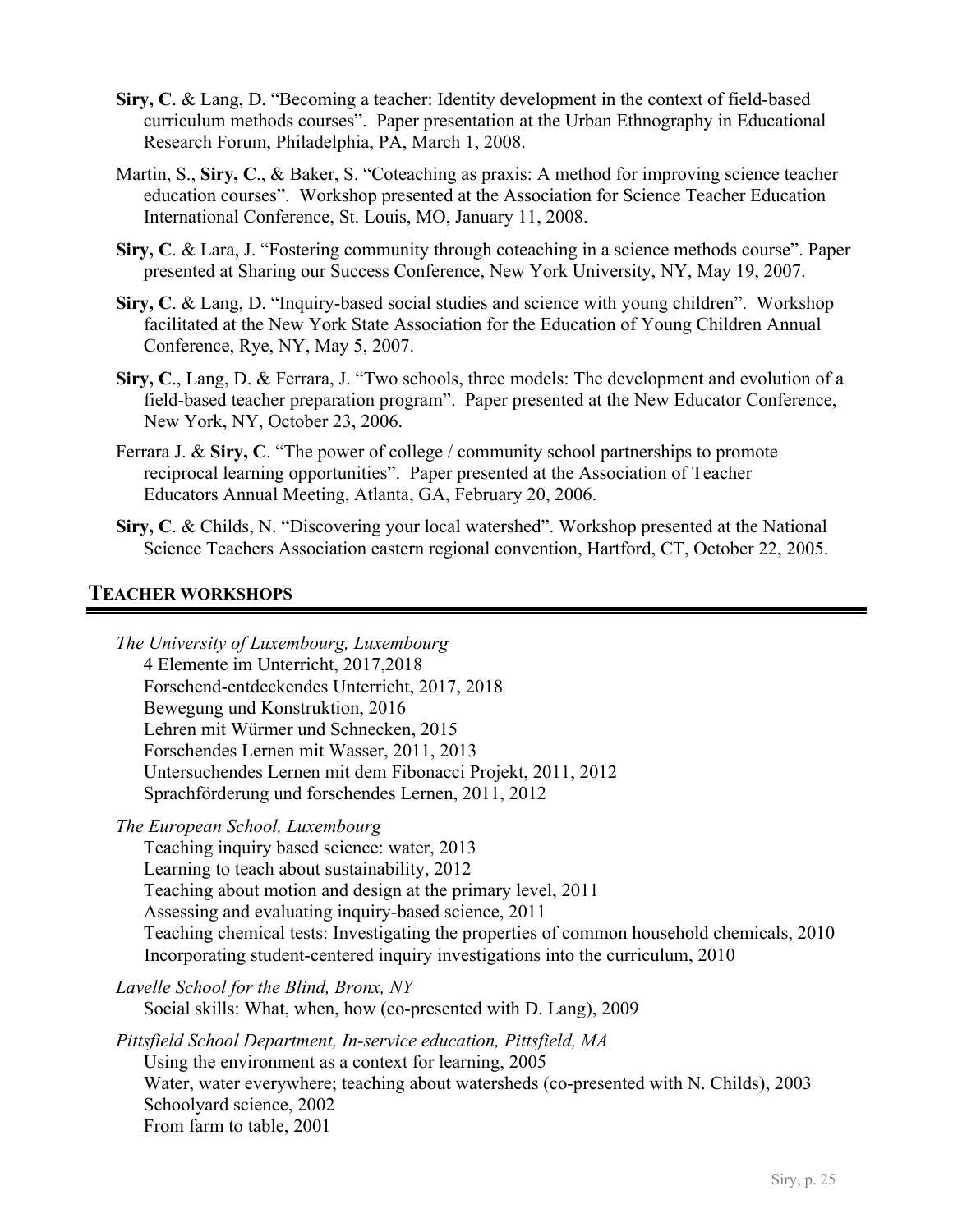- **Siry, C**. & Lang, D. "Becoming a teacher: Identity development in the context of field-based curriculum methods courses". Paper presentation at the Urban Ethnography in Educational Research Forum, Philadelphia, PA, March 1, 2008.
- Martin, S., **Siry, C**., & Baker, S. "Coteaching as praxis: A method for improving science teacher education courses". Workshop presented at the Association for Science Teacher Education International Conference, St. Louis, MO, January 11, 2008.
- **Siry, C**. & Lara, J. "Fostering community through coteaching in a science methods course". Paper presented at Sharing our Success Conference, New York University, NY, May 19, 2007.
- **Siry, C**. & Lang, D. "Inquiry-based social studies and science with young children". Workshop facilitated at the New York State Association for the Education of Young Children Annual Conference, Rye, NY, May 5, 2007.
- **Siry, C**., Lang, D. & Ferrara, J. "Two schools, three models: The development and evolution of a field-based teacher preparation program". Paper presented at the New Educator Conference, New York, NY, October 23, 2006.
- Ferrara J. & **Siry, C**. "The power of college / community school partnerships to promote reciprocal learning opportunities". Paper presented at the Association of Teacher Educators Annual Meeting, Atlanta, GA, February 20, 2006.
- **Siry, C**. & Childs, N. "Discovering your local watershed". Workshop presented at the National Science Teachers Association eastern regional convention, Hartford, CT, October 22, 2005.

# **TEACHER WORKSHOPS**

*The University of Luxembourg, Luxembourg* 4 Elemente im Unterricht, 2017,2018 Forschend-entdeckendes Unterricht, 2017, 2018 Bewegung und Konstruktion, 2016 Lehren mit Würmer und Schnecken, 2015 Forschendes Lernen mit Wasser, 2011, 2013 Untersuchendes Lernen mit dem Fibonacci Projekt, 2011, 2012 Sprachförderung und forschendes Lernen, 2011, 2012

*The European School, Luxembourg*

Teaching inquiry based science: water, 2013

Learning to teach about sustainability, 2012

Teaching about motion and design at the primary level, 2011

Assessing and evaluating inquiry-based science, 2011

Teaching chemical tests: Investigating the properties of common household chemicals, 2010 Incorporating student-centered inquiry investigations into the curriculum, 2010

*Lavelle School for the Blind, Bronx, NY* Social skills: What, when, how (co-presented with D. Lang), 2009

*Pittsfield School Department, In-service education, Pittsfield, MA* Using the environment as a context for learning, 2005 Water, water everywhere; teaching about watersheds (co-presented with N. Childs), 2003 Schoolyard science, 2002 From farm to table, 2001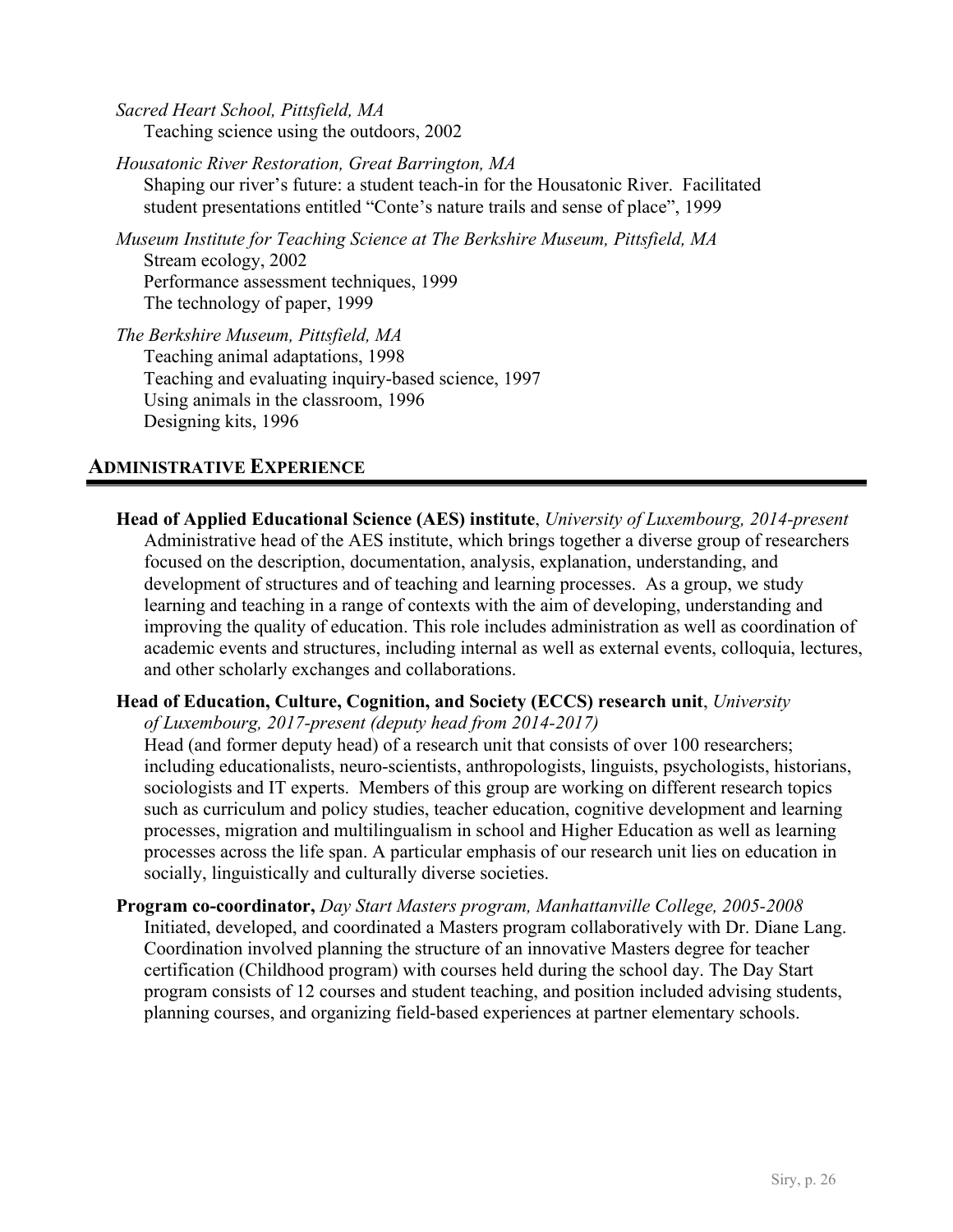*Sacred Heart School, Pittsfield, MA* Teaching science using the outdoors, 2002

*Housatonic River Restoration, Great Barrington, MA* Shaping our river's future: a student teach-in for the Housatonic River. Facilitated student presentations entitled "Conte's nature trails and sense of place", 1999

*Museum Institute for Teaching Science at The Berkshire Museum, Pittsfield, MA*  Stream ecology, 2002 Performance assessment techniques, 1999 The technology of paper, 1999

*The Berkshire Museum, Pittsfield, MA* Teaching animal adaptations, 1998 Teaching and evaluating inquiry-based science, 1997 Using animals in the classroom, 1996 Designing kits, 1996

# **ADMINISTRATIVE EXPERIENCE**

**Head of Applied Educational Science (AES) institute**, *University of Luxembourg, 2014-present* Administrative head of the AES institute, which brings together a diverse group of researchers focused on the description, documentation, analysis, explanation, understanding, and development of structures and of teaching and learning processes. As a group, we study learning and teaching in a range of contexts with the aim of developing, understanding and improving the quality of education. This role includes administration as well as coordination of academic events and structures, including internal as well as external events, colloquia, lectures, and other scholarly exchanges and collaborations.

# **Head of Education, Culture, Cognition, and Society (ECCS) research unit**, *University*

*of Luxembourg, 2017-present (deputy head from 2014-2017)*

Head (and former deputy head) of a research unit that consists of over 100 researchers; including educationalists, neuro-scientists, anthropologists, linguists, psychologists, historians, sociologists and IT experts. Members of this group are working on different research topics such as curriculum and policy studies, teacher education, cognitive development and learning processes, migration and multilingualism in school and Higher Education as well as learning processes across the life span. A particular emphasis of our research unit lies on education in socially, linguistically and culturally diverse societies.

**Program co-coordinator,** *Day Start Masters program, Manhattanville College, 2005-2008* Initiated, developed, and coordinated a Masters program collaboratively with Dr. Diane Lang. Coordination involved planning the structure of an innovative Masters degree for teacher certification (Childhood program) with courses held during the school day. The Day Start program consists of 12 courses and student teaching, and position included advising students, planning courses, and organizing field-based experiences at partner elementary schools.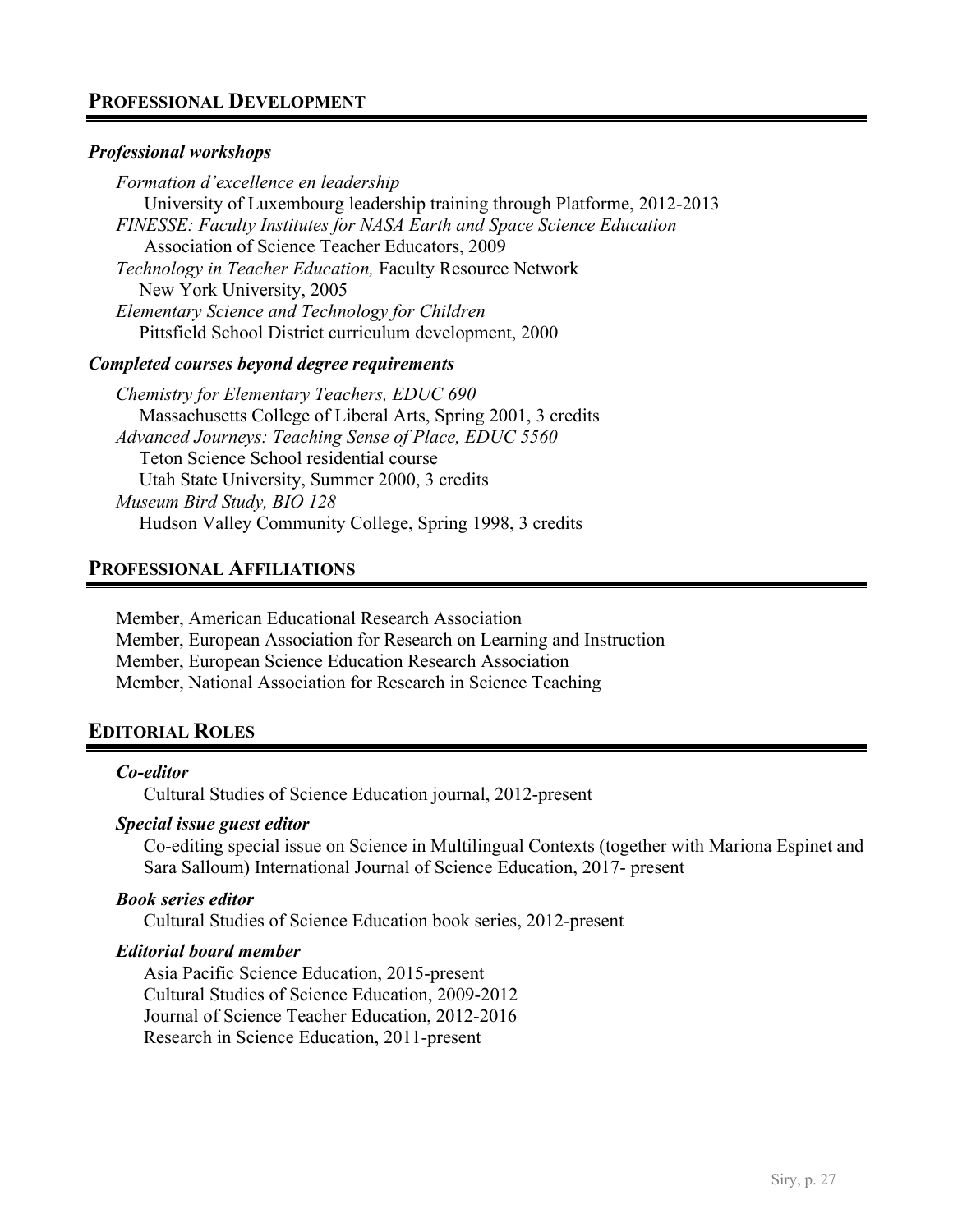# **PROFESSIONAL DEVELOPMENT**

#### *Professional workshops*

*Formation d'excellence en leadership* University of Luxembourg leadership training through Platforme, 2012-2013 *FINESSE: Faculty Institutes for NASA Earth and Space Science Education*  Association of Science Teacher Educators, 2009 *Technology in Teacher Education,* Faculty Resource Network New York University, 2005 *Elementary Science and Technology for Children* Pittsfield School District curriculum development, 2000

#### *Completed courses beyond degree requirements*

*Chemistry for Elementary Teachers, EDUC 690* Massachusetts College of Liberal Arts, Spring 2001, 3 credits *Advanced Journeys: Teaching Sense of Place, EDUC 5560* Teton Science School residential course Utah State University, Summer 2000, 3 credits *Museum Bird Study, BIO 128* Hudson Valley Community College, Spring 1998, 3 credits

## **PROFESSIONAL AFFILIATIONS**

Member, American Educational Research Association Member, European Association for Research on Learning and Instruction Member, European Science Education Research Association Member, National Association for Research in Science Teaching

# **EDITORIAL ROLES**

#### *Co-editor*

Cultural Studies of Science Education journal, 2012-present

#### *Special issue guest editor*

Co-editing special issue on Science in Multilingual Contexts (together with Mariona Espinet and Sara Salloum) International Journal of Science Education, 2017- present

#### *Book series editor*

Cultural Studies of Science Education book series, 2012-present

#### *Editorial board member*

Asia Pacific Science Education, 2015-present Cultural Studies of Science Education, 2009-2012 Journal of Science Teacher Education, 2012-2016 Research in Science Education, 2011-present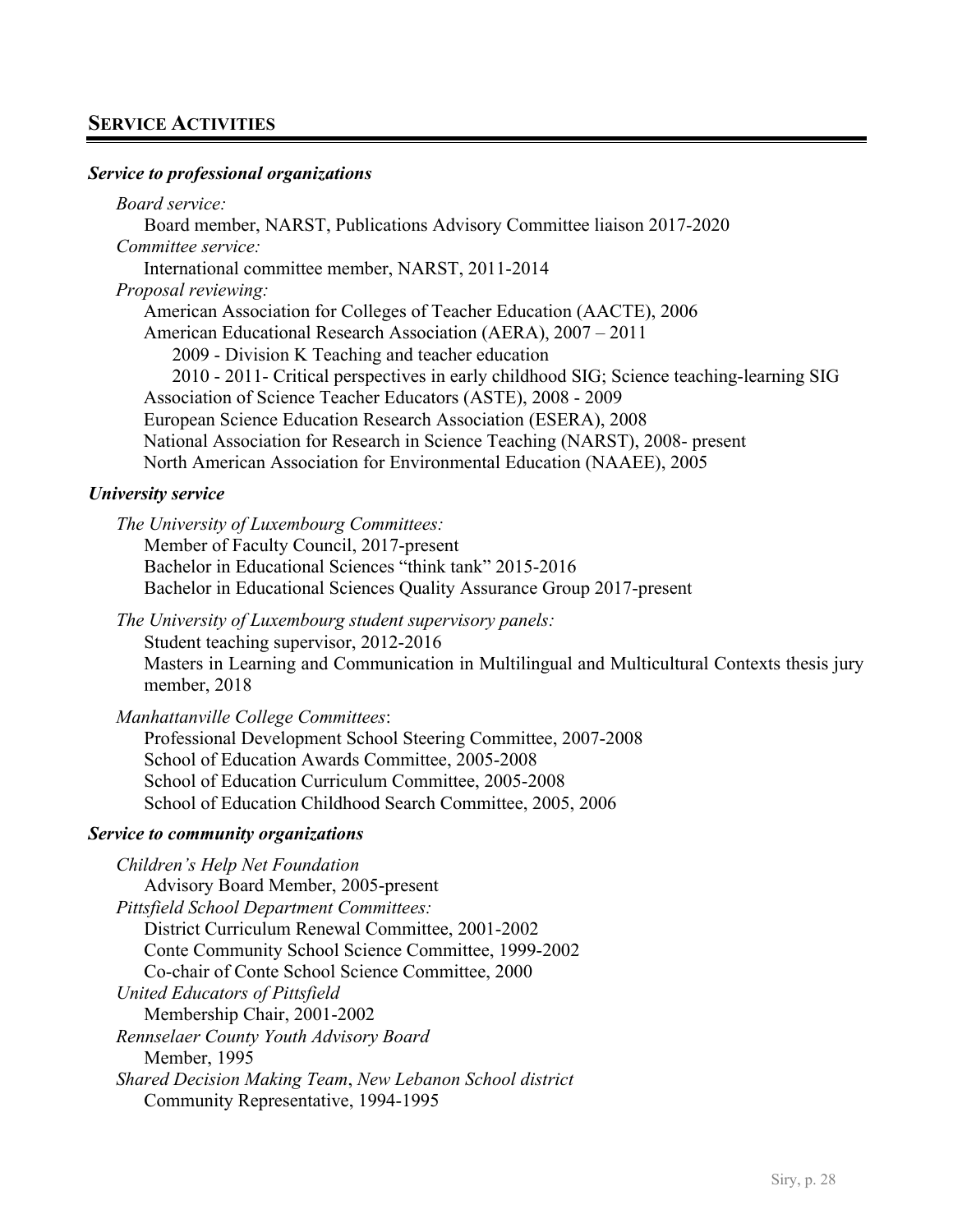# **SERVICE ACTIVITIES**

#### *Service to professional organizations*

*Board service:*  Board member, NARST, Publications Advisory Committee liaison 2017-2020 *Committee service:* International committee member, NARST, 2011-2014 *Proposal reviewing:* American Association for Colleges of Teacher Education (AACTE), 2006 American Educational Research Association (AERA), 2007 – 2011 2009 - Division K Teaching and teacher education 2010 - 2011- Critical perspectives in early childhood SIG; Science teaching-learning SIG Association of Science Teacher Educators (ASTE), 2008 - 2009 European Science Education Research Association (ESERA), 2008 National Association for Research in Science Teaching (NARST), 2008- present North American Association for Environmental Education (NAAEE), 2005

#### *University service*

*The University of Luxembourg Committees:* Member of Faculty Council, 2017-present Bachelor in Educational Sciences "think tank" 2015-2016 Bachelor in Educational Sciences Quality Assurance Group 2017-present

*The University of Luxembourg student supervisory panels:* Student teaching supervisor, 2012-2016

Masters in Learning and Communication in Multilingual and Multicultural Contexts thesis jury member, 2018

*Manhattanville College Committees*:

Professional Development School Steering Committee, 2007-2008 School of Education Awards Committee, 2005-2008 School of Education Curriculum Committee, 2005-2008 School of Education Childhood Search Committee, 2005, 2006

#### *Service to community organizations*

*Children's Help Net Foundation* Advisory Board Member, 2005-present *Pittsfield School Department Committees:* District Curriculum Renewal Committee, 2001-2002 Conte Community School Science Committee, 1999-2002 Co-chair of Conte School Science Committee, 2000 *United Educators of Pittsfield* Membership Chair, 2001-2002 *Rennselaer County Youth Advisory Board* Member, 1995 *Shared Decision Making Team*, *New Lebanon School district* Community Representative, 1994-1995